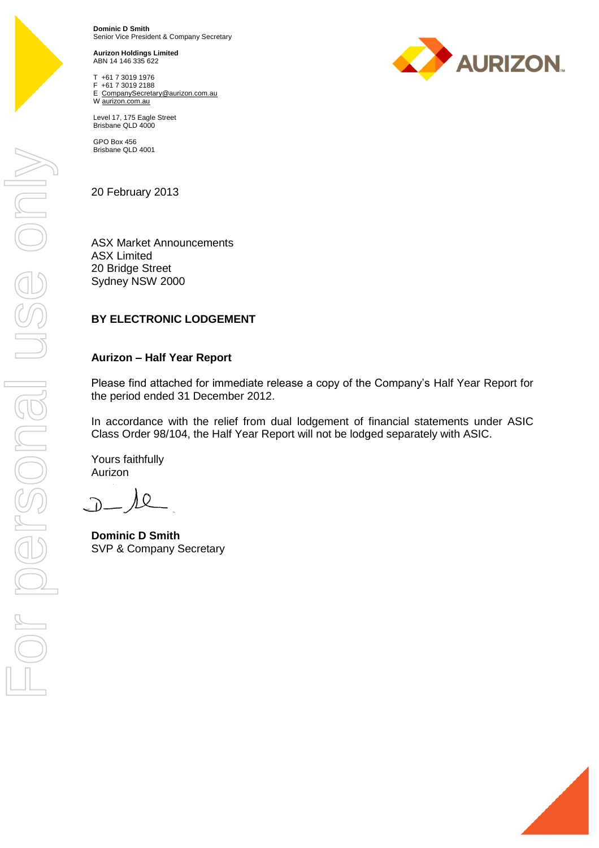

**Dominic D Smith** Senior Vice President & Company Secretary

**Aurizon Holdings Limited** ABN 14 146 335 622

T +61 7 3019 1976 F +61 7 3019 2188 E CompanySecretary@aurizon.com.au W aurizon.com.au



GPO Box 456 Brisbane QLD 4001

20 February 2013

ASX Market Announcements ASX Limited 20 Bridge Street Sydney NSW 2000

## **BY ELECTRONIC LODGEMENT**

## **Aurizon – Half Year Report**

Please find attached for immediate release a copy of the Company's Half Year Report for the period ended 31 December 2012.

In accordance with the relief from dual lodgement of financial statements under ASIC Class Order 98/104, the Half Year Report will not be lodged separately with ASIC.

Yours faithfully Aurizon

 $\cap$ 

**Dominic D Smith** SVP & Company Secretary



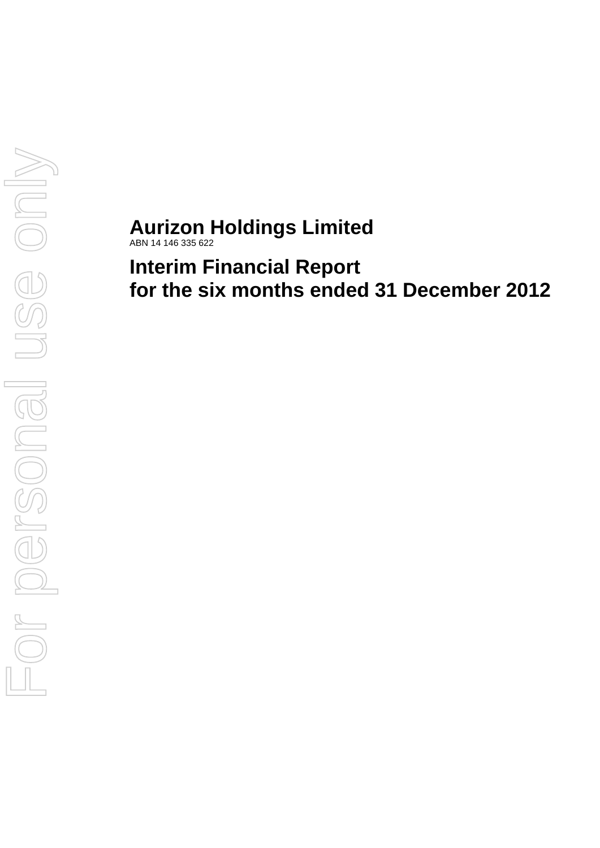# **Aurizon Holdings Limited**

ABN 14 146 335 622

**Interim Financial Report for the six months ended 31 December 2012**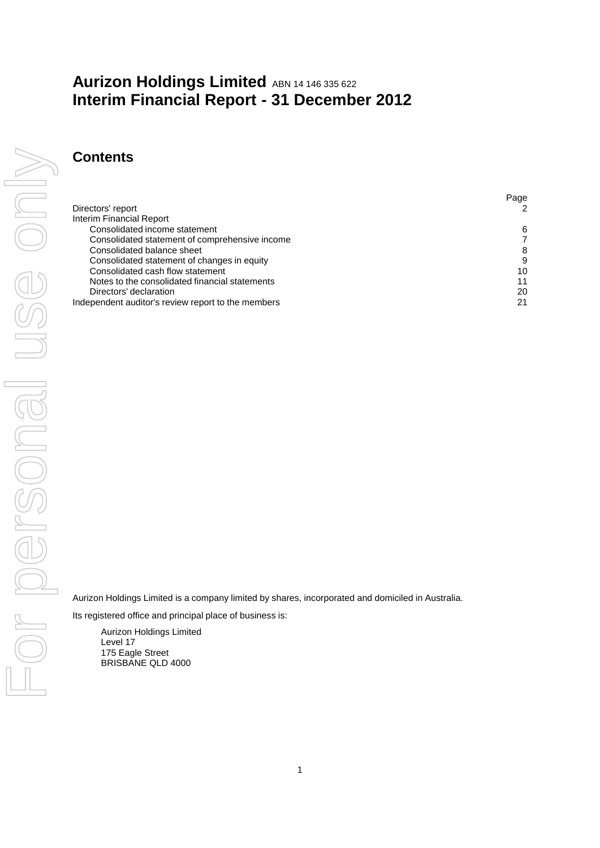# **Aurizon Holdings Limited** ABN 14 146 335 622 **Interim Financial Report - 31 December 2012**

## **Contents**

| Directors' report                                  | 2  |
|----------------------------------------------------|----|
|                                                    |    |
| Interim Financial Report                           |    |
| Consolidated income statement                      | 6  |
| Consolidated statement of comprehensive income     |    |
| Consolidated balance sheet                         | 8  |
| Consolidated statement of changes in equity        | 9  |
| Consolidated cash flow statement                   | 10 |
| Notes to the consolidated financial statements     | 11 |
| Directors' declaration                             | 20 |
| Independent auditor's review report to the members | 21 |

Aurizon Holdings Limited is a company limited by shares, incorporated and domiciled in Australia.

Its registered office and principal place of business is:

Aurizon Holdings Limited Level 17 175 Eagle Street BRISBANE QLD 4000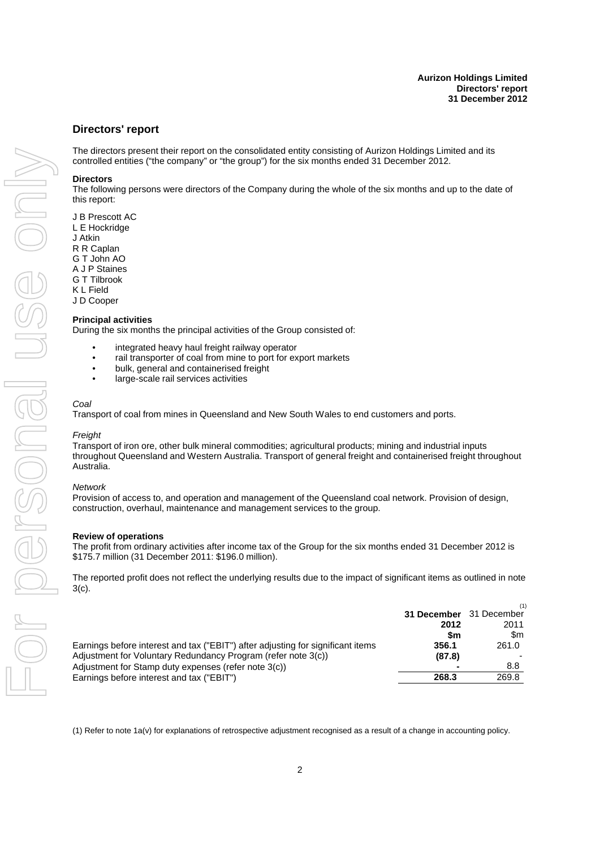#### <span id="page-3-0"></span>**Directors' report**

The directors present their report on the consolidated entity consisting of Aurizon Holdings Limited and its controlled entities ("the company" or "the group") for the six months ended 31 December 2012.

#### **Directors**

The following persons were directors of the Company during the whole of the six months and up to the date of this report:

J B Prescott AC L E Hockridge J Atkin R R Caplan G T John AO A J P Staines G T Tilbrook K L Field

J D Cooper

#### **Principal activities**

During the six months the principal activities of the Group consisted of:

- integrated heavy haul freight railway operator
- rail transporter of coal from mine to port for export markets
- bulk, general and containerised freight
- large-scale rail services activities

#### *Coal*

Transport of coal from mines in Queensland and New South Wales to end customers and ports.

#### *Freight*

Transport of iron ore, other bulk mineral commodities; agricultural products; mining and industrial inputs throughout Queensland and Western Australia. Transport of general freight and containerised freight throughout Australia.

#### *Network*

Provision of access to, and operation and management of the Queensland coal network. Provision of design, construction, overhaul, maintenance and management services to the group.

#### **Review of operations**

The profit from ordinary activities after income tax of the Group for the six months ended 31 December 2012 is \$175.7 million (31 December 2011: \$196.0 million).

The reported profit does not reflect the underlying results due to the impact of significant items as outlined in note 3(c).

|                                                                                 |                         | (1)   |
|---------------------------------------------------------------------------------|-------------------------|-------|
|                                                                                 | 31 December 31 December |       |
|                                                                                 | 2012                    | 2011  |
|                                                                                 | \$m                     | \$m   |
| Earnings before interest and tax ("EBIT") after adjusting for significant items | 356.1                   | 261.0 |
| Adjustment for Voluntary Redundancy Program (refer note 3(c))                   | (87.8)                  |       |
| Adjustment for Stamp duty expenses (refer note 3(c))                            |                         | 8.8   |
| Earnings before interest and tax ("EBIT")                                       | 268.3                   | 269.8 |

(1) Refer to note 1a(v) for explanations of retrospective adjustment recognised as a result of a change in accounting policy.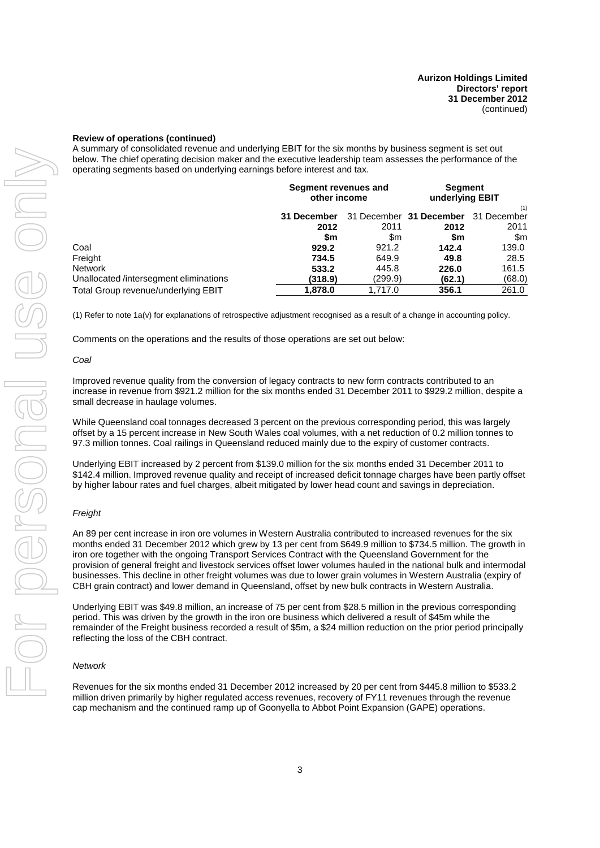#### **Review of operations (continued)**

A summary of consolidated revenue and underlying EBIT for the six months by business segment is set out below. The chief operating decision maker and the executive leadership team assesses the performance of the operating segments based on underlying earnings before interest and tax.

|                                       | Segment revenues and<br>other income   |         | <b>Segment</b><br>underlying EBIT |                    |
|---------------------------------------|----------------------------------------|---------|-----------------------------------|--------------------|
|                                       | 31 December 31 December<br>31 December |         |                                   | (1)<br>31 December |
|                                       | 2012                                   | 2011    | 2012                              | 2011               |
|                                       | \$m                                    | \$m     | \$m                               | \$m                |
| Coal                                  | 929.2                                  | 921.2   | 142.4                             | 139.0              |
| Freight                               | 734.5                                  | 649.9   | 49.8                              | 28.5               |
| <b>Network</b>                        | 533.2                                  | 445.8   | 226.0                             | 161.5              |
| Unallocated/intersegment eliminations | (318.9)                                | (299.9) | (62.1)                            | (68.0)             |
| Total Group revenue/underlying EBIT   | 1,878.0                                | 1.717.0 | 356.1                             | 261.0              |

(1) Refer to note 1a(v) for explanations of retrospective adjustment recognised as a result of a change in accounting policy.

Comments on the operations and the results of those operations are set out below:

#### *Coal*

Improved revenue quality from the conversion of legacy contracts to new form contracts contributed to an increase in revenue from \$921.2 million for the six months ended 31 December 2011 to \$929.2 million, despite a small decrease in haulage volumes.

While Queensland coal tonnages decreased 3 percent on the previous corresponding period, this was largely offset by a 15 percent increase in New South Wales coal volumes, with a net reduction of 0.2 million tonnes to 97.3 million tonnes. Coal railings in Queensland reduced mainly due to the expiry of customer contracts.

Underlying EBIT increased by 2 percent from \$139.0 million for the six months ended 31 December 2011 to \$142.4 million. Improved revenue quality and receipt of increased deficit tonnage charges have been partly offset by higher labour rates and fuel charges, albeit mitigated by lower head count and savings in depreciation.

#### *Freight*

An 89 per cent increase in iron ore volumes in Western Australia contributed to increased revenues for the six months ended 31 December 2012 which grew by 13 per cent from \$649.9 million to \$734.5 million. The growth in iron ore together with the ongoing Transport Services Contract with the Queensland Government for the provision of general freight and livestock services offset lower volumes hauled in the national bulk and intermodal businesses. This decline in other freight volumes was due to lower grain volumes in Western Australia (expiry of CBH grain contract) and lower demand in Queensland, offset by new bulk contracts in Western Australia.

Underlying EBIT was \$49.8 million, an increase of 75 per cent from \$28.5 million in the previous corresponding period. This was driven by the growth in the iron ore business which delivered a result of \$45m while the remainder of the Freight business recorded a result of \$5m, a \$24 million reduction on the prior period principally reflecting the loss of the CBH contract.

#### *Network*

Revenues for the six months ended 31 December 2012 increased by 20 per cent from \$445.8 million to \$533.2 million driven primarily by higher regulated access revenues, recovery of FY11 revenues through the revenue cap mechanism and the continued ramp up of Goonyella to Abbot Point Expansion (GAPE) operations.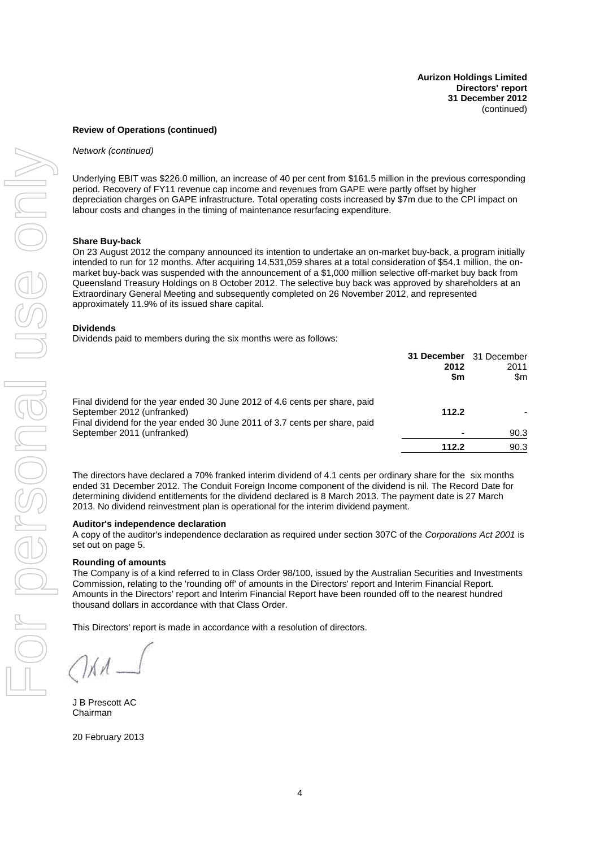#### **Review of Operations (continued)**

#### *Network (continued)*

Underlying EBIT was \$226.0 million, an increase of 40 per cent from \$161.5 million in the previous corresponding period. Recovery of FY11 revenue cap income and revenues from GAPE were partly offset by higher depreciation charges on GAPE infrastructure. Total operating costs increased by \$7m due to the CPI impact on labour costs and changes in the timing of maintenance resurfacing expenditure.

#### **Share Buy-back**

On 23 August 2012 the company announced its intention to undertake an on-market buy-back, a program initially intended to run for 12 months. After acquiring 14,531,059 shares at a total consideration of \$54.1 million, the onmarket buy-back was suspended with the announcement of a \$1,000 million selective off-market buy back from Queensland Treasury Holdings on 8 October 2012. The selective buy back was approved by shareholders at an Extraordinary General Meeting and subsequently completed on 26 November 2012, and represented approximately 11.9% of its issued share capital.

#### **Dividends**

Dividends paid to members during the six months were as follows:

|                                                                                                                                                                                          | 31 December 31 December<br>2012<br>\$m | 2011<br>\$m |
|------------------------------------------------------------------------------------------------------------------------------------------------------------------------------------------|----------------------------------------|-------------|
| Final dividend for the year ended 30 June 2012 of 4.6 cents per share, paid<br>September 2012 (unfranked)<br>Final dividend for the year ended 30 June 2011 of 3.7 cents per share, paid | 112.2                                  |             |
| September 2011 (unfranked)                                                                                                                                                               |                                        | 90.3        |
|                                                                                                                                                                                          | 112.2                                  | 90.3        |

The directors have declared a 70% franked interim dividend of 4.1 cents per ordinary share for the six months ended 31 December 2012. The Conduit Foreign Income component of the dividend is nil. The Record Date for determining dividend entitlements for the dividend declared is 8 March 2013. The payment date is 27 March 2013. No dividend reinvestment plan is operational for the interim dividend payment.

#### **Auditor's inde[pe](#page-6-0)ndence declaration**

A copy of the auditor's independence declaration as required under section 307C of the *Corporations Act 2001* is set out on page 5.

#### **Rounding of amounts**

The Company is of a kind referred to in Class Order 98/100, issued by the Australian Securities and Investments Commission, relating to the 'rounding off' of amounts in the Directors' report and Interim Financial Report. Amounts in the Directors' report and Interim Financial Report have been rounded off to the nearest hundred thousand dollars in accordance with that Class Order.

This Directors' report is made in accordance with a resolution of directors.

 $\chi$   $\mathcal{A}$  .

J B Prescott AC Chairman

20 February 2013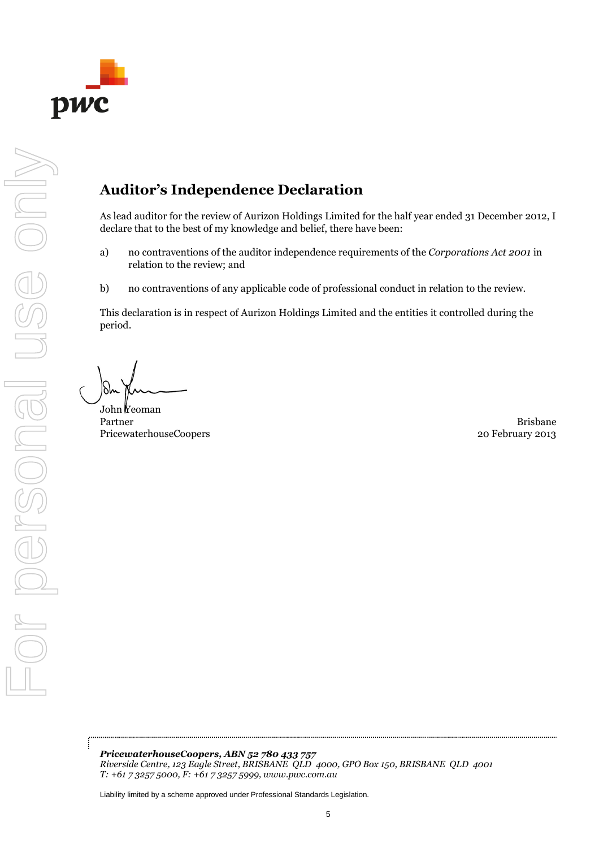<span id="page-6-0"></span>

# **Auditor's Independence Declaration**

As lead auditor for the review of Aurizon Holdings Limited for the half year ended 31 December 2012, I declare that to the best of my knowledge and belief, there have been:

- a) no contraventions of the auditor independence requirements of the *Corporations Act 2001* in relation to the review; and
- b) no contraventions of any applicable code of professional conduct in relation to the review.

This declaration is in respect of Aurizon Holdings Limited and the entities it controlled during the period.

For personal use only

I personal

Se onl

John Yeoman Partner Brisbane PricewaterhouseCoopers 2013

*PricewaterhouseCoopers, ABN 52 780 433 757 Riverside Centre, 123 Eagle Street, BRISBANE QLD 4000, GPO Box 150, BRISBANE QLD 4001 T: +61 7 3257 5000, F: +61 7 3257 5999, www.pwc.com.au*

Liability limited by a scheme approved under Professional Standards Legislation.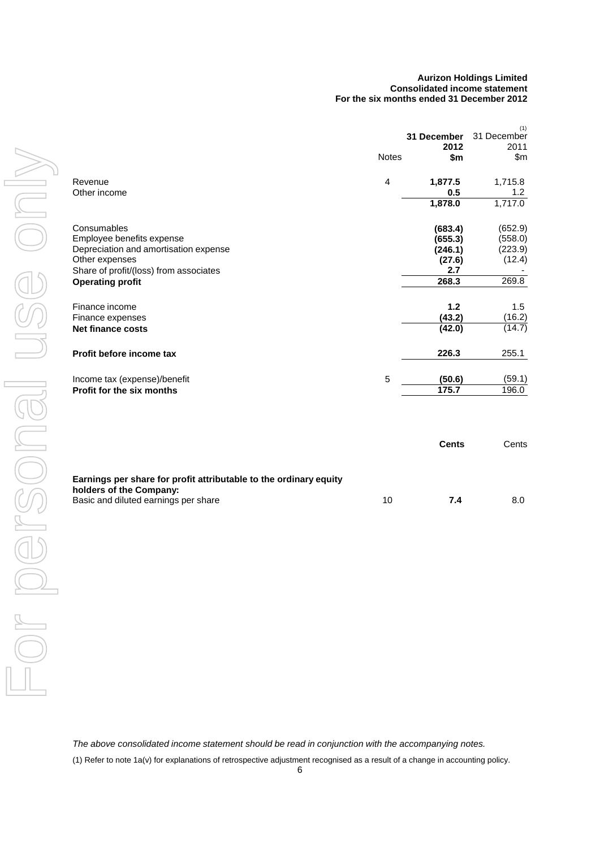#### **Aurizon Holdings Limited Consolidated income statement For the six months ended 31 December 2012**

<span id="page-7-1"></span><span id="page-7-0"></span>

|                                        |              | 31 December<br>2012 | (1)<br>31 December<br>2011 |
|----------------------------------------|--------------|---------------------|----------------------------|
|                                        | <b>Notes</b> | \$m                 | \$m\$                      |
| Revenue                                | 4            | 1,877.5             | 1,715.8                    |
| Other income                           |              | 0.5                 | 1.2                        |
|                                        |              | 1,878.0             | 1,717.0                    |
| Consumables                            |              | (683.4)             | (652.9)                    |
| Employee benefits expense              |              | (655.3)             | (558.0)                    |
| Depreciation and amortisation expense  |              | (246.1)             | (223.9)                    |
| Other expenses                         |              | (27.6)              | (12.4)                     |
| Share of profit/(loss) from associates |              | 2.7                 |                            |
| <b>Operating profit</b>                |              | 268.3               | 269.8                      |
| Finance income                         |              | 1.2                 | 1.5                        |
| Finance expenses                       |              | (43.2)              | (16.2)                     |
| <b>Net finance costs</b>               |              | (42.0)              | (14.7)                     |
| Profit before income tax               |              | 226.3               | 255.1                      |
| Income tax (expense)/benefit           | 5            | (50.6)              | (59.1)                     |
| Profit for the six months              |              | 175.7               | 196.0                      |
|                                        |              | <b>Cents</b>        | Cents                      |
|                                        |              |                     |                            |

| Earnings per share for profit attributable to the ordinary equity<br>holders of the Company: |    |     |  |
|----------------------------------------------------------------------------------------------|----|-----|--|
| Basic and diluted earnings per share                                                         | 10 | 7.4 |  |

*The above consolidated income statement should be read in conjunction with the accompanying notes.*

(1) Refer to note 1a(v) for explanations of retrospective adjustment recognised as a result of a change in accounting policy.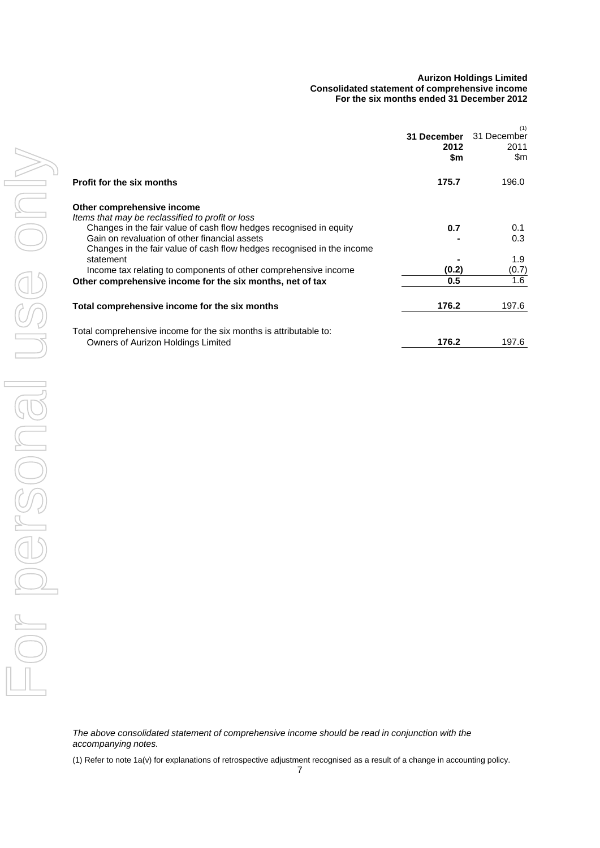#### **Aurizon Holdings Limited Consolidated statement of comprehensive income For the six months ended 31 December 2012**

<span id="page-8-0"></span>

|                                                                                                                                                                                               | 31 December<br>2012<br>\$m | (1)<br>31 December<br>2011<br>\$m |
|-----------------------------------------------------------------------------------------------------------------------------------------------------------------------------------------------|----------------------------|-----------------------------------|
| <b>Profit for the six months</b>                                                                                                                                                              | 175.7                      | 196.0                             |
| Other comprehensive income<br>Items that may be reclassified to profit or loss                                                                                                                |                            |                                   |
| Changes in the fair value of cash flow hedges recognised in equity<br>Gain on revaluation of other financial assets<br>Changes in the fair value of cash flow hedges recognised in the income | 0.7                        | 0.1<br>0.3                        |
| statement                                                                                                                                                                                     |                            | 1.9                               |
| Income tax relating to components of other comprehensive income                                                                                                                               | (0.2)                      | (0.7)                             |
| Other comprehensive income for the six months, net of tax                                                                                                                                     | 0.5                        | 1.6                               |
| Total comprehensive income for the six months                                                                                                                                                 | 176.2                      | 197.6                             |
| Total comprehensive income for the six months is attributable to:<br>Owners of Aurizon Holdings Limited                                                                                       | 176.2                      | 197.6                             |

*The above consolidated statement of comprehensive income should be read in conjunction with the accompanying notes.*

(1) Refer to note 1a(v) for explanations of retrospective adjustment recognised as a result of a change in accounting policy.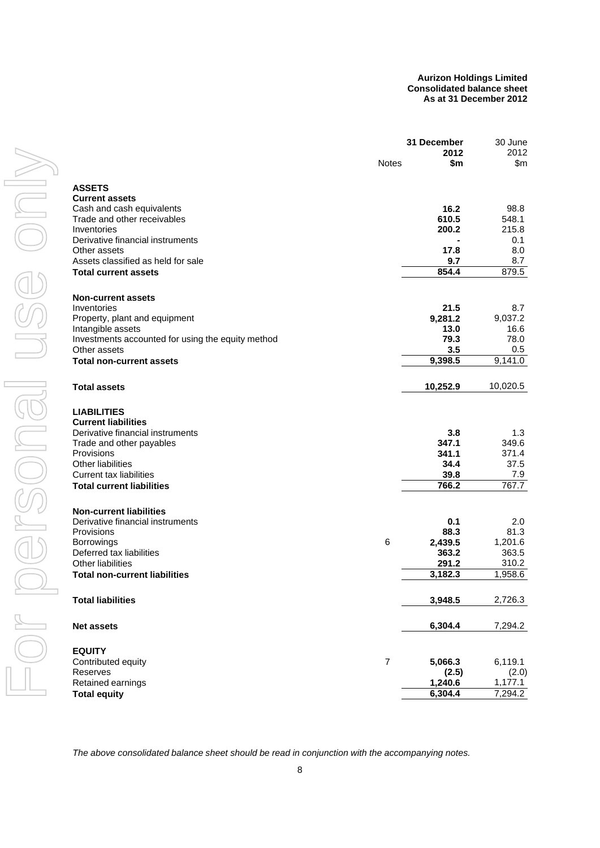#### **Aurizon Holdings Limited Consolidated balance sheet As at 31 December 2012**

<span id="page-9-0"></span>

|                                                   | 31 December    |          | 30 June  |  |
|---------------------------------------------------|----------------|----------|----------|--|
|                                                   |                | 2012     | 2012     |  |
|                                                   | <b>Notes</b>   | \$m      | \$m      |  |
| <b>ASSETS</b>                                     |                |          |          |  |
| <b>Current assets</b>                             |                |          |          |  |
| Cash and cash equivalents                         |                | 16.2     | 98.8     |  |
| Trade and other receivables                       |                | 610.5    | 548.1    |  |
| Inventories                                       |                | 200.2    | 215.8    |  |
| Derivative financial instruments                  |                |          | 0.1      |  |
| Other assets                                      |                | 17.8     | 8.0      |  |
| Assets classified as held for sale                |                | 9.7      | 8.7      |  |
| <b>Total current assets</b>                       |                | 854.4    | 879.5    |  |
| <b>Non-current assets</b>                         |                |          |          |  |
| Inventories                                       |                | 21.5     | 8.7      |  |
| Property, plant and equipment                     |                | 9,281.2  | 9,037.2  |  |
| Intangible assets                                 |                | 13.0     | 16.6     |  |
| Investments accounted for using the equity method |                | 79.3     | 78.0     |  |
| Other assets                                      |                | 3.5      | 0.5      |  |
| <b>Total non-current assets</b>                   |                | 9,398.5  | 9,141.0  |  |
|                                                   |                |          |          |  |
| <b>Total assets</b>                               |                | 10,252.9 | 10,020.5 |  |
| <b>LIABILITIES</b>                                |                |          |          |  |
| <b>Current liabilities</b>                        |                |          |          |  |
| Derivative financial instruments                  |                | 3.8      | 1.3      |  |
| Trade and other payables                          |                | 347.1    | 349.6    |  |
| Provisions                                        |                | 341.1    | 371.4    |  |
| <b>Other liabilities</b>                          |                | 34.4     | 37.5     |  |
| <b>Current tax liabilities</b>                    |                | 39.8     | 7.9      |  |
| <b>Total current liabilities</b>                  |                | 766.2    | 767.7    |  |
| <b>Non-current liabilities</b>                    |                |          |          |  |
| Derivative financial instruments                  |                | 0.1      | 2.0      |  |
| Provisions                                        |                | 88.3     | 81.3     |  |
| <b>Borrowings</b>                                 | 6              | 2,439.5  | 1,201.6  |  |
| Deferred tax liabilities                          |                | 363.2    | 363.5    |  |
| <b>Other liabilities</b>                          |                | 291.2    | 310.2    |  |
| <b>Total non-current liabilities</b>              |                | 3,182.3  | 1,958.6  |  |
| <b>Total liabilities</b>                          |                | 3,948.5  | 2,726.3  |  |
|                                                   |                |          |          |  |
| <b>Net assets</b>                                 |                | 6,304.4  | 7,294.2  |  |
| <b>EQUITY</b>                                     |                |          |          |  |
| Contributed equity                                | $\overline{7}$ | 5,066.3  | 6,119.1  |  |
| Reserves                                          |                | (2.5)    | (2.0)    |  |
| Retained earnings                                 |                | 1,240.6  | 1,177.1  |  |
| <b>Total equity</b>                               |                | 6,304.4  | 7,294.2  |  |

*The above consolidated balance sheet should be read in conjunction with the accompanying notes.*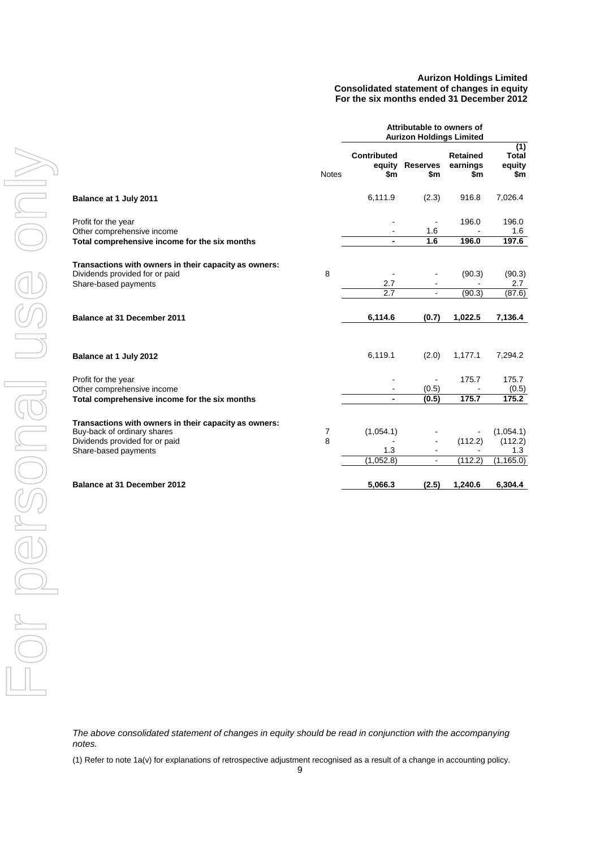#### **Aurizon Holdings Limited Consolidated statement of changes in equity For the six months ended 31 December 2012**

<span id="page-10-0"></span>

|                                                                                                                 |                | Attributable to owners of<br><b>Aurizon Holdings Limited</b> |                              |                                    |                                      |
|-----------------------------------------------------------------------------------------------------------------|----------------|--------------------------------------------------------------|------------------------------|------------------------------------|--------------------------------------|
|                                                                                                                 | <b>Notes</b>   | Contributed<br>equity<br>\$m                                 | <b>Reserves</b><br>\$m       | <b>Retained</b><br>earnings<br>\$m | (1)<br><b>Total</b><br>equity<br>\$m |
| Balance at 1 July 2011                                                                                          |                | 6,111.9                                                      | (2.3)                        | 916.8                              | 7,026.4                              |
| Profit for the year<br>Other comprehensive income                                                               |                | $\blacksquare$                                               | $\blacksquare$<br>1.6<br>1.6 | 196.0<br>196.0                     | 196.0<br>1.6<br>197.6                |
| Total comprehensive income for the six months                                                                   |                |                                                              |                              |                                    |                                      |
| Transactions with owners in their capacity as owners:<br>Dividends provided for or paid<br>Share-based payments | 8              | 2.7                                                          |                              | (90.3)                             | (90.3)<br>2.7                        |
|                                                                                                                 |                | $\overline{2.7}$                                             |                              | (90.3)                             | (87.6)                               |
| Balance at 31 December 2011                                                                                     |                | 6,114.6                                                      | (0.7)                        | 1,022.5                            | 7,136.4                              |
| Balance at 1 July 2012                                                                                          |                | 6,119.1                                                      | (2.0)                        | 1,177.1                            | 7,294.2                              |
| Profit for the year                                                                                             |                | $\blacksquare$                                               | $\blacksquare$               | 175.7                              | 175.7                                |
| Other comprehensive income                                                                                      |                |                                                              | (0.5)                        |                                    | (0.5)                                |
| Total comprehensive income for the six months                                                                   |                |                                                              | (0.5)                        | 175.7                              | 175.2                                |
| Transactions with owners in their capacity as owners:                                                           |                |                                                              |                              |                                    |                                      |
| Buy-back of ordinary shares                                                                                     | $\overline{7}$ | (1,054.1)                                                    |                              |                                    | (1,054.1)                            |
| Dividends provided for or paid                                                                                  | 8              | 1.3                                                          | ä,                           | (112.2)                            | (112.2)<br>1.3                       |
| Share-based payments                                                                                            |                | (1,052.8)                                                    | ä,                           | (112.2)                            | (1, 165.0)                           |
| <b>Balance at 31 December 2012</b>                                                                              |                | 5,066.3                                                      | (2.5)                        | 1,240.6                            | 6,304.4                              |

*The above consolidated statement of changes in equity should be read in conjunction with the accompanying notes.*

(1) Refer to note 1a(v) for explanations of retrospective adjustment recognised as a result of a change in accounting policy.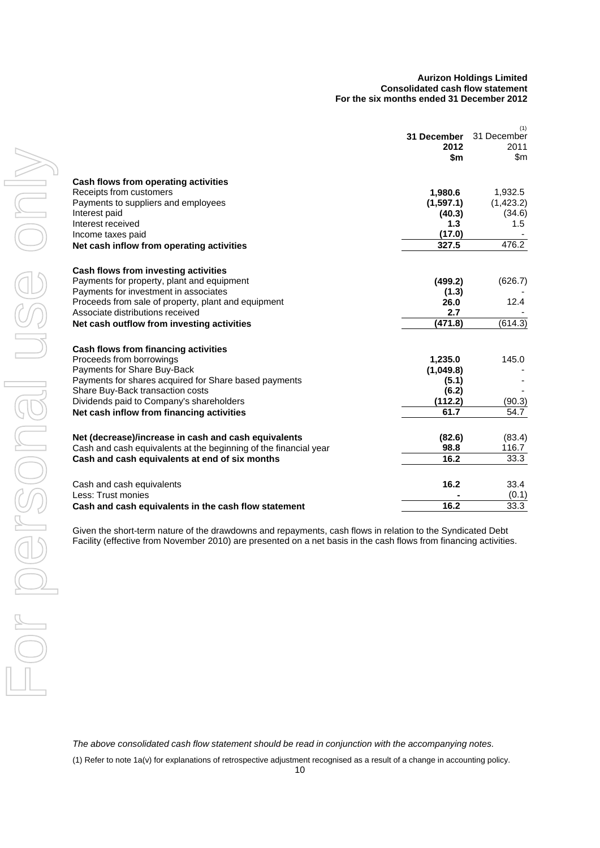#### **Aurizon Holdings Limited Consolidated cash flow statement For the six months ended 31 December 2012**

<span id="page-11-0"></span>

|                                                                  | 31 December | (1)<br>31 December |
|------------------------------------------------------------------|-------------|--------------------|
|                                                                  | 2012        | 2011               |
|                                                                  | \$m         | \$m                |
|                                                                  |             |                    |
| Cash flows from operating activities                             |             |                    |
| Receipts from customers                                          | 1,980.6     | 1,932.5            |
| Payments to suppliers and employees                              | (1,597.1)   | (1,423.2)          |
| Interest paid                                                    | (40.3)      | (34.6)             |
| Interest received                                                | 1.3         | 1.5                |
| Income taxes paid                                                | (17.0)      |                    |
| Net cash inflow from operating activities                        | 327.5       | 476.2              |
| Cash flows from investing activities                             |             |                    |
| Payments for property, plant and equipment                       | (499.2)     | (626.7)            |
| Payments for investment in associates                            | (1.3)       |                    |
| Proceeds from sale of property, plant and equipment              | 26.0        | 12.4               |
| Associate distributions received                                 | 2.7         |                    |
| Net cash outflow from investing activities                       | (471.8)     | (614.3)            |
| Cash flows from financing activities                             |             |                    |
| Proceeds from borrowings                                         | 1,235.0     | 145.0              |
| Payments for Share Buy-Back                                      | (1,049.8)   |                    |
| Payments for shares acquired for Share based payments            | (5.1)       |                    |
| Share Buy-Back transaction costs                                 | (6.2)       |                    |
| Dividends paid to Company's shareholders                         | (112.2)     | (90.3)             |
| Net cash inflow from financing activities                        | 61.7        | 54.7               |
| Net (decrease)/increase in cash and cash equivalents             | (82.6)      | (83.4)             |
| Cash and cash equivalents at the beginning of the financial year | 98.8        | 116.7              |
| Cash and cash equivalents at end of six months                   | 16.2        | 33.3               |
|                                                                  |             |                    |
| Cash and cash equivalents                                        | 16.2        | 33.4               |
| Less: Trust monies                                               |             | (0.1)              |
| Cash and cash equivalents in the cash flow statement             | 16.2        | 33.3               |

Given the short-term nature of the drawdowns and repayments, cash flows in relation to the Syndicated Debt Facility (effective from November 2010) are presented on a net basis in the cash flows from financing activities.

*The above consolidated cash flow statement should be read in conjunction with the accompanying notes.*

(1) Refer to note 1a(v) for explanations of retrospective adjustment recognised as a result of a change in accounting policy.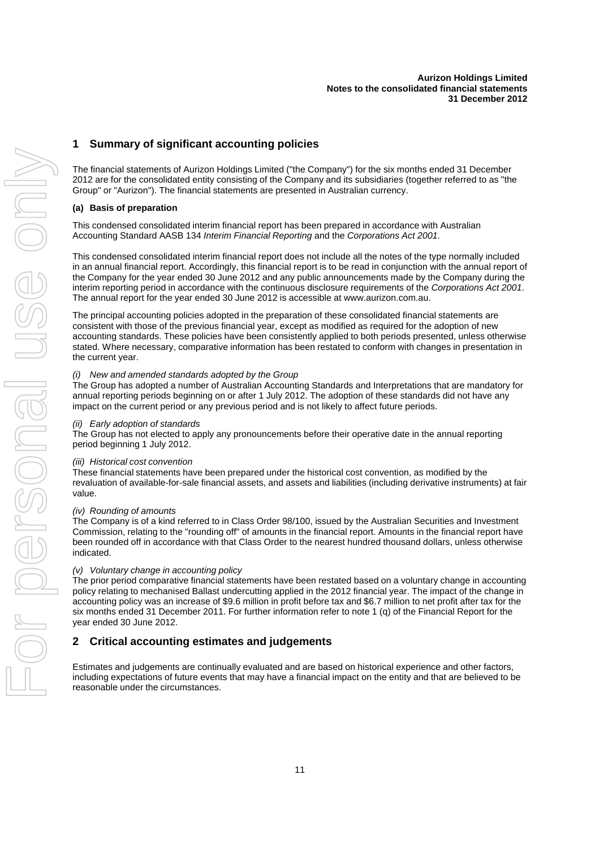#### **Aurizon Holdings Limited Notes to the consolidated financial statements 31 December 2012**

### <span id="page-12-0"></span>**1 Summary of significant accounting policies**

The financial statements of Aurizon Holdings Limited ("the Company") for the six months ended 31 December 2012 are for the consolidated entity consisting of the Company and its subsidiaries (together referred to as "the Group" or "Aurizon"). The financial statements are presented in Australian currency.

#### **(a) Basis of preparation**

This condensed consolidated interim financial report has been prepared in accordance with Australian Accounting Standard AASB 134 *Interim Financial Reporting* and the *Corporations Act 2001*.

This condensed consolidated interim financial report does not include all the notes of the type normally included in an annual financial report. Accordingly, this financial report is to be read in conjunction with the annual report of the Company for the year ended 30 June 2012 and any public announcements made by the Company during the interim reporting period in accordance with the continuous disclosure requirements of the *Corporations Act 2001*. The annual report for the year ended 30 June 2012 is accessible at www.aurizon.com.au.

The principal accounting policies adopted in the preparation of these consolidated financial statements are consistent with those of the previous financial year, except as modified as required for the adoption of new accounting standards. These policies have been consistently applied to both periods presented, unless otherwise stated. Where necessary, comparative information has been restated to conform with changes in presentation in the current year.

#### *(i) New and amended standards adopted by the Group*

The Group has adopted a number of Australian Accounting Standards and Interpretations that are mandatory for annual reporting periods beginning on or after 1 July 2012. The adoption of these standards did not have any impact on the current period or any previous period and is not likely to affect future periods.

#### *(ii) Early adoption of standards*

The Group has not elected to apply any pronouncements before their operative date in the annual reporting period beginning 1 July 2012.

#### *(iii) Historical cost convention*

These financial statements have been prepared under the historical cost convention, as modified by the revaluation of available-for-sale financial assets, and assets and liabilities (including derivative instruments) at fair value.

#### *(iv) Rounding of amounts*

The Company is of a kind referred to in Class Order 98/100, issued by the Australian Securities and Investment Commission, relating to the "rounding off" of amounts in the financial report. Amounts in the financial report have been rounded off in accordance with that Class Order to the nearest hundred thousand dollars, unless otherwise indicated.

#### *(v) Voluntary change in accounting policy*

The prior period comparative financial statements have been restated based on a voluntary change in accounting policy relating to mechanised Ballast undercutting applied in the 2012 financial year. The impact of the change in accounting policy was an increase of \$9.6 million in profit before tax and \$6.7 million to net profit after tax for the six months ended 31 December 2011. For further information refer to note 1 (q) of the Financial Report for the year ended 30 June 2012.

#### **2 Critical accounting estimates and judgements**

Estimates and judgements are continually evaluated and are based on historical experience and other factors, including expectations of future events that may have a financial impact on the entity and that are believed to be reasonable under the circumstances.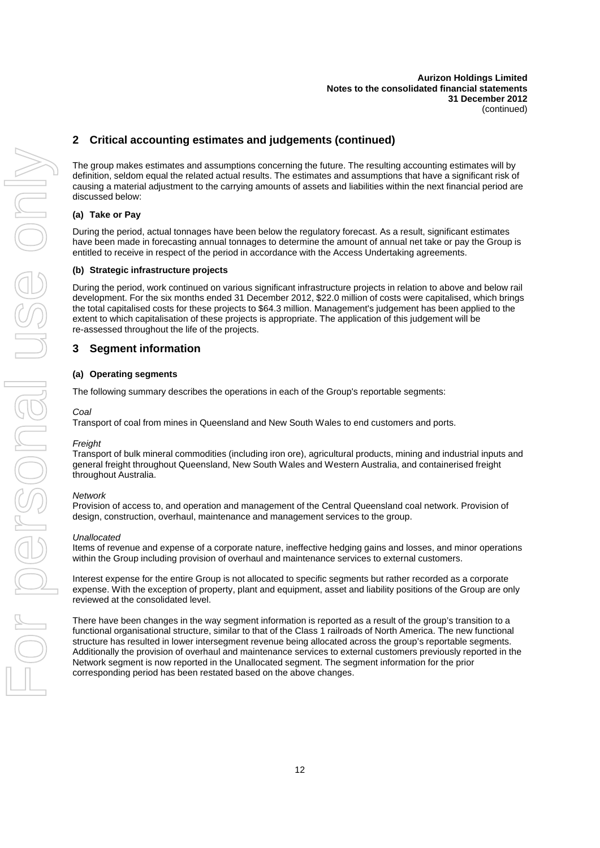## **2 Critical accounting estimates and judgements (continued)**

The group makes estimates and assumptions concerning the future. The resulting accounting estimates will by definition, seldom equal the related actual results. The estimates and assumptions that have a significant risk of causing a material adjustment to the carrying amounts of assets and liabilities within the next financial period are discussed below:

#### **(a) Take or Pay**

During the period, actual tonnages have been below the regulatory forecast. As a result, significant estimates have been made in forecasting annual tonnages to determine the amount of annual net take or pay the Group is entitled to receive in respect of the period in accordance with the Access Undertaking agreements.

#### **(b) Strategic infrastructure projects**

During the period, work continued on various significant infrastructure projects in relation to above and below rail development. For the six months ended 31 December 2012, \$22.0 million of costs were capitalised, which brings the total capitalised costs for these projects to \$64.3 million. Management's judgement has been applied to the extent to which capitalisation of these projects is appropriate. The application of this judgement will be re-assessed throughout the life of the projects.

#### **3 Segment information**

#### **(a) Operating segments**

The following summary describes the operations in each of the Group's reportable segments:

#### *Coal*

Transport of coal from mines in Queensland and New South Wales to end customers and ports.

#### *Freight*

Transport of bulk mineral commodities (including iron ore), agricultural products, mining and industrial inputs and general freight throughout Queensland, New South Wales and Western Australia, and containerised freight throughout Australia.

#### *Network*

Provision of access to, and operation and management of the Central Queensland coal network. Provision of design, construction, overhaul, maintenance and management services to the group.

#### *Unallocated*

Items of revenue and expense of a corporate nature, ineffective hedging gains and losses, and minor operations within the Group including provision of overhaul and maintenance services to external customers.

Interest expense for the entire Group is not allocated to specific segments but rather recorded as a corporate expense. With the exception of property, plant and equipment, asset and liability positions of the Group are only reviewed at the consolidated level.

There have been changes in the way segment information is reported as a result of the group's transition to a functional organisational structure, similar to that of the Class 1 railroads of North America. The new functional structure has resulted in lower intersegment revenue being allocated across the group's reportable segments. Additionally the provision of overhaul and maintenance services to external customers previously reported in the Network segment is now reported in the Unallocated segment. The segment information for the prior corresponding period has been restated based on the above changes.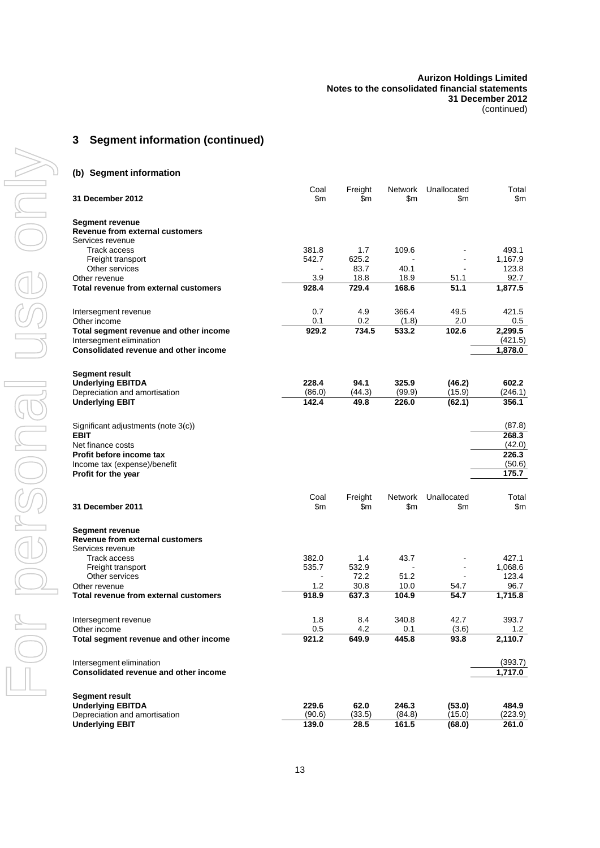#### **Aurizon Holdings Limited Notes to the consolidated financial statements 31 December 2012** (continued)

## **3 Segment information (continued)**

#### **(b) Segment information**

|                                              | Coal   | Freight | <b>Network</b> | Unallocated | Total   |
|----------------------------------------------|--------|---------|----------------|-------------|---------|
| 31 December 2012                             | \$m    | \$m     | \$m            | \$m         | \$m     |
| Segment revenue                              |        |         |                |             |         |
| <b>Revenue from external customers</b>       |        |         |                |             |         |
| Services revenue                             |        |         |                |             |         |
| Track access                                 | 381.8  | 1.7     | 109.6          |             | 493.1   |
| Freight transport                            | 542.7  | 625.2   |                |             | 1,167.9 |
| Other services                               |        | 83.7    | 40.1           |             | 123.8   |
| Other revenue                                | 3.9    | 18.8    | 18.9           | 51.1        | 92.7    |
| Total revenue from external customers        | 928.4  | 729.4   | 168.6          | 51.1        | 1,877.5 |
| Intersegment revenue                         | 0.7    | 4.9     | 366.4          | 49.5        | 421.5   |
| Other income                                 | 0.1    | 0.2     | (1.8)          | 2.0         | 0.5     |
| Total segment revenue and other income       | 929.2  | 734.5   | 533.2          | 102.6       | 2,299.5 |
| Intersegment elimination                     |        |         |                |             | (421.5) |
| Consolidated revenue and other income        |        |         |                |             | 1,878.0 |
| Segment result                               |        |         |                |             |         |
| <b>Underlying EBITDA</b>                     | 228.4  | 94.1    | 325.9          | (46.2)      | 602.2   |
| Depreciation and amortisation                | (86.0) | (44.3)  | (99.9)         | (15.9)      | (246.1) |
| <b>Underlying EBIT</b>                       | 142.4  | 49.8    | 226.0          | (62.1)      | 356.1   |
| Significant adjustments (note 3(c))          |        |         |                |             | (87.8)  |
| <b>EBIT</b>                                  |        |         |                |             | 268.3   |
| Net finance costs                            |        |         |                |             | (42.0)  |
| Profit before income tax                     |        |         |                |             | 226.3   |
| Income tax (expense)/benefit                 |        |         |                |             | (50.6)  |
| Profit for the year                          |        |         |                |             | 175.7   |
|                                              | Coal   | Freight | Network        | Unallocated | Total   |
| <b>31 December 2011</b>                      | \$m    | \$m     | \$m            | \$m         | \$m     |
| <b>Segment revenue</b>                       |        |         |                |             |         |
| <b>Revenue from external customers</b>       |        |         |                |             |         |
| Services revenue                             |        |         |                |             |         |
| Track access                                 | 382.0  | 1.4     | 43.7           |             | 427.1   |
| Freight transport                            | 535.7  | 532.9   |                |             | 1,068.6 |
| Other services                               |        | 72.2    | 51.2           |             | 123.4   |
| Other revenue                                | 1.2    | 30.8    | 10.0           | 54.7        | 96.7    |
| Total revenue from external customers        | 918.9  | 637.3   | 104.9          | 54.7        | 1,715.8 |
| Intersegment revenue                         | 1.8    | 8.4     | 340.8          | 42.7        | 393.7   |
| Other income                                 | 0.5    | 4.2     | 0.1            | (3.6)       | 1.2     |
| Total segment revenue and other income       | 921.2  | 649.9   | 445.8          | 93.8        | 2,110.7 |
| Intersegment elimination                     |        |         |                |             | (393.7) |
| <b>Consolidated revenue and other income</b> |        |         |                |             | 1,717.0 |
| <b>Segment result</b>                        |        |         |                |             |         |
| <b>Underlying EBITDA</b>                     | 229.6  | 62.0    | 246.3          | (53.0)      | 484.9   |
| Depreciation and amortisation                | (90.6) | (33.5)  | (84.8)         | (15.0)      | (223.9) |
| <b>Underlying EBIT</b>                       | 139.0  | 28.5    | 161.5          | (68.0)      | 261.0   |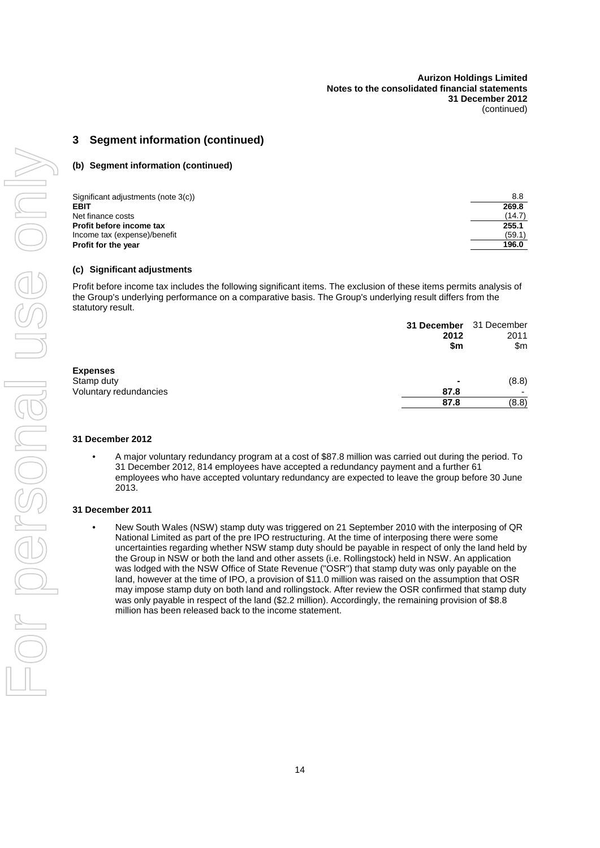## **3 Segment information (continued)**

#### **(b) Segment information (continued)**

| Significant adjustments (note 3(c)) | 8.8    |
|-------------------------------------|--------|
| <b>EBIT</b>                         | 269.8  |
| Net finance costs                   | (14.7) |
| Profit before income tax            | 255.1  |
| Income tax (expense)/benefit        | (59.1) |
| Profit for the year                 | 196.0  |

#### **(c) Significant adjustments**

Profit before income tax includes the following significant items. The exclusion of these items permits analysis of the Group's underlying performance on a comparative basis. The Group's underlying result differs from the statutory result.

|                        | 31 December 31 December<br>2012<br>\$m | 2011<br>\$m |
|------------------------|----------------------------------------|-------------|
| <b>Expenses</b>        |                                        |             |
| Stamp duty             | ۰                                      | (8.8)       |
| Voluntary redundancies | 87.8                                   |             |
|                        | 87.8                                   | (8.8)       |

#### **31 December 2012**

• A major voluntary redundancy program at a cost of \$87.8 million was carried out during the period. To 31 December 2012, 814 employees have accepted a redundancy payment and a further 61 employees who have accepted voluntary redundancy are expected to leave the group before 30 June 2013.

#### **31 December 2011**

• New South Wales (NSW) stamp duty was triggered on 21 September 2010 with the interposing of QR National Limited as part of the pre IPO restructuring. At the time of interposing there were some uncertainties regarding whether NSW stamp duty should be payable in respect of only the land held by the Group in NSW or both the land and other assets (i.e. Rollingstock) held in NSW. An application was lodged with the NSW Office of State Revenue ("OSR") that stamp duty was only payable on the land, however at the time of IPO, a provision of \$11.0 million was raised on the assumption that OSR may impose stamp duty on both land and rollingstock. After review the OSR confirmed that stamp duty was only payable in respect of the land (\$2.2 million). Accordingly, the remaining provision of \$8.8 million has been released back to the income statement.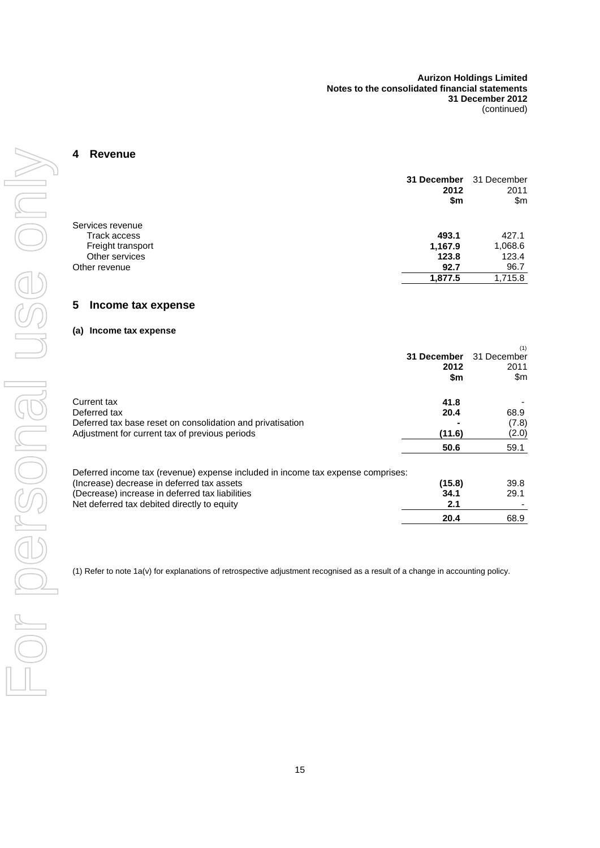#### <span id="page-16-0"></span>**4 Revenue**

|                     | 31 December<br>2012<br>\$m | 31 December<br>2011<br>$\mathsf{S}$ m |
|---------------------|----------------------------|---------------------------------------|
| Services revenue    |                            |                                       |
| <b>Track access</b> | 493.1                      | 427.1                                 |
| Freight transport   | 1,167.9                    | 1,068.6                               |
| Other services      | 123.8                      | 123.4                                 |
| Other revenue       | 92.7                       | 96.7                                  |
|                     | 1,877.5                    | 1,715.8                               |

### <span id="page-16-1"></span>**5 Income tax expense**

#### **(a) Income tax expense**

|                                                                                 |             | (1)         |
|---------------------------------------------------------------------------------|-------------|-------------|
|                                                                                 | 31 December | 31 December |
|                                                                                 | 2012        | 2011        |
|                                                                                 | \$m         | \$m         |
| Current tax                                                                     | 41.8        |             |
| Deferred tax                                                                    | 20.4        | 68.9        |
| Deferred tax base reset on consolidation and privatisation                      |             | (7.8)       |
| Adjustment for current tax of previous periods                                  | (11.6)      | (2.0)       |
|                                                                                 | 50.6        | 59.1        |
| Deferred income tax (revenue) expense included in income tax expense comprises: |             |             |
| (Increase) decrease in deferred tax assets                                      | (15.8)      | 39.8        |
| (Decrease) increase in deferred tax liabilities                                 | 34.1        | 29.1        |
| Net deferred tax debited directly to equity                                     | 2.1         |             |
|                                                                                 | 20.4        | 68.9        |

(1) Refer to note 1a(v) for explanations of retrospective adjustment recognised as a result of a change in accounting policy.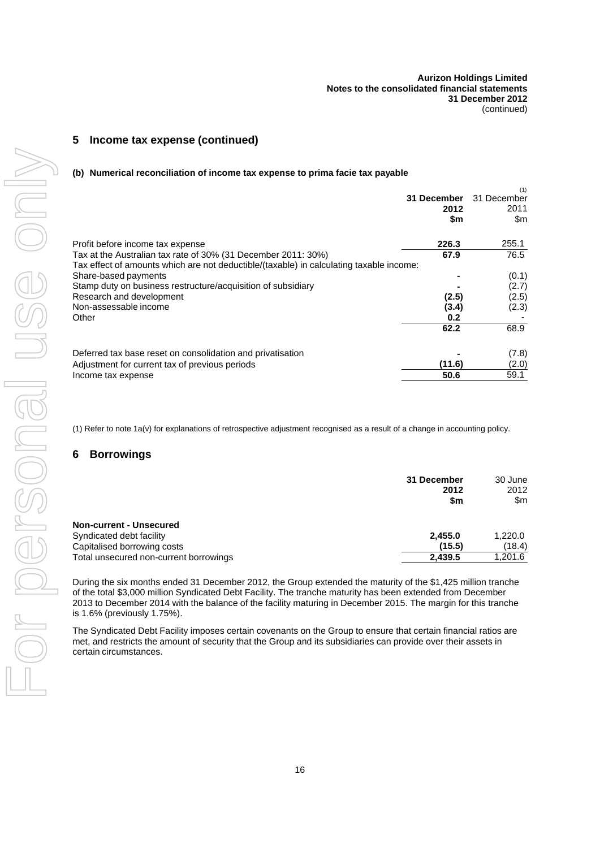### **5 Income tax expense (continued)**

#### **(b) Numerical reconciliation of income tax expense to prima facie tax payable**

|                                                                                                                                                          | 31 December<br>2012<br>\$m | (1)<br>31 December<br>2011<br>\$m |
|----------------------------------------------------------------------------------------------------------------------------------------------------------|----------------------------|-----------------------------------|
| Profit before income tax expense                                                                                                                         | 226.3                      | 255.1                             |
| Tax at the Australian tax rate of 30% (31 December 2011: 30%)<br>Tax effect of amounts which are not deductible/(taxable) in calculating taxable income: | 67.9                       | 76.5                              |
| Share-based payments                                                                                                                                     |                            | (0.1)                             |
| Stamp duty on business restructure/acquisition of subsidiary                                                                                             |                            | (2.7)                             |
| Research and development                                                                                                                                 | (2.5)                      | (2.5)                             |
| Non-assessable income                                                                                                                                    | (3.4)                      | (2.3)                             |
| Other                                                                                                                                                    | 0.2                        |                                   |
|                                                                                                                                                          | 62.2                       | 68.9                              |
| Deferred tax base reset on consolidation and privatisation                                                                                               |                            | (7.8)                             |
| Adjustment for current tax of previous periods                                                                                                           | (11.6)                     | (2.0)                             |
| Income tax expense                                                                                                                                       | 50.6                       | 59.1                              |

<span id="page-17-0"></span>(1) Refer to note 1a(v) for explanations of retrospective adjustment recognised as a result of a change in accounting policy.

#### **6 Borrowings**

|                                        | 31 December<br>2012<br>\$m | 30 June<br>2012<br>\$m |
|----------------------------------------|----------------------------|------------------------|
| Non-current - Unsecured                |                            |                        |
| Syndicated debt facility               | 2,455.0                    | 1,220.0                |
| Capitalised borrowing costs            | (15.5)                     | (18.4)                 |
| Total unsecured non-current borrowings | 2,439.5                    | 1,201.6                |

During the six months ended 31 December 2012, the Group extended the maturity of the \$1,425 million tranche of the total \$3,000 million Syndicated Debt Facility. The tranche maturity has been extended from December 2013 to December 2014 with the balance of the facility maturing in December 2015. The margin for this tranche is 1.6% (previously 1.75%).

The Syndicated Debt Facility imposes certain covenants on the Group to ensure that certain financial ratios are met, and restricts the amount of security that the Group and its subsidiaries can provide over their assets in certain circumstances.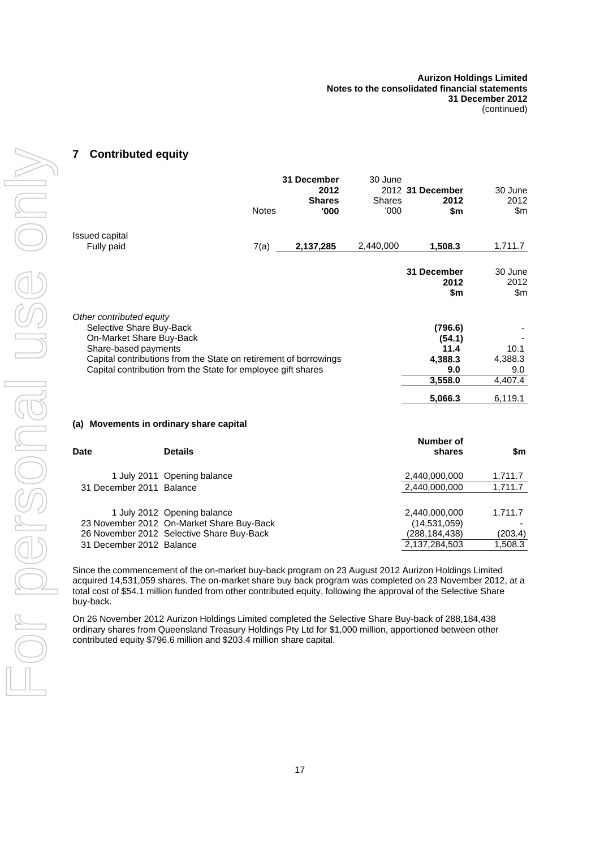#### <span id="page-18-0"></span>**7 Contributed equity**

|                                                                  |              | 31 December   | 30 June       |                  |         |
|------------------------------------------------------------------|--------------|---------------|---------------|------------------|---------|
|                                                                  |              | 2012          |               | 2012 31 December | 30 June |
|                                                                  |              | <b>Shares</b> | <b>Shares</b> | 2012             | 2012    |
|                                                                  | <b>Notes</b> | '000          | '000          | \$m              | \$m     |
| <b>Issued capital</b>                                            |              |               |               |                  |         |
| Fully paid                                                       | 7(a)         | 2,137,285     | 2,440,000     | 1,508.3          | 1,711.7 |
|                                                                  |              |               |               | 31 December      | 30 June |
|                                                                  |              |               |               | 2012             | 2012    |
|                                                                  |              |               |               | \$m              | \$m     |
| Other contributed equity                                         |              |               |               |                  |         |
| Selective Share Buy-Back                                         |              |               |               | (796.6)          |         |
| On-Market Share Buy-Back                                         |              |               |               | (54.1)           |         |
| Share-based payments                                             |              |               |               | 11.4             | 10.1    |
| Capital contributions from the State on retirement of borrowings |              |               |               | 4,388.3          | 4,388.3 |
| Capital contribution from the State for employee gift shares     |              |               |               | 9.0              | 9.0     |
|                                                                  |              |               |               | 3,558.0          | 4,407.4 |
|                                                                  |              |               |               | 5,066.3          | 6,119.1 |
|                                                                  |              |               |               |                  |         |

#### <span id="page-18-1"></span>**(a) Movements in ordinary share capital**

| <b>Date</b>              | <b>Details</b>                            | Number of<br>shares | \$m     |
|--------------------------|-------------------------------------------|---------------------|---------|
|                          | 1 July 2011 Opening balance               | 2,440,000,000       | 1,711.7 |
| 31 December 2011 Balance |                                           | 2,440,000,000       | 1,711.7 |
|                          | 1 July 2012 Opening balance               | 2,440,000,000       | 1,711.7 |
|                          | 23 November 2012 On-Market Share Buy-Back | (14, 531, 059)      |         |
|                          | 26 November 2012 Selective Share Buy-Back | (288, 184, 438)     | (203.4) |
| 31 December 2012 Balance |                                           | 2,137,284,503       | 1,508.3 |

Since the commencement of the on-market buy-back program on 23 August 2012 Aurizon Holdings Limited acquired 14,531,059 shares. The on-market share buy back program was completed on 23 November 2012, at a total cost of \$54.1 million funded from other contributed equity, following the approval of the Selective Share buy-back.

On 26 November 2012 Aurizon Holdings Limited completed the Selective Share Buy-back of 288,184,438 ordinary shares from Queensland Treasury Holdings Pty Ltd for \$1,000 million, apportioned between other contributed equity \$796.6 million and \$203.4 million share capital.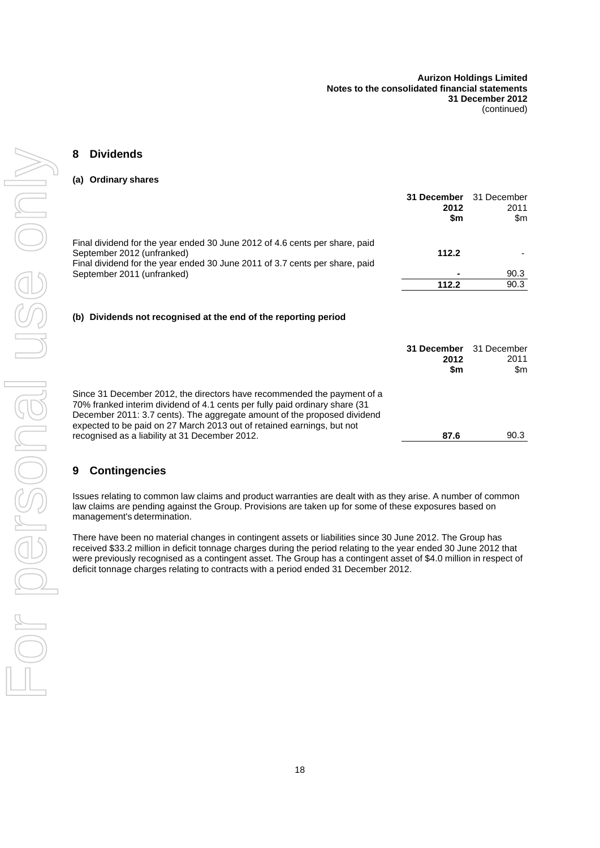#### <span id="page-19-0"></span>**8 Dividends**

#### **(a) Ordinary shares**

|                                                                                                                                                                                          | 31 December<br>2012<br>\$m | 31 December<br>2011<br>\$m |
|------------------------------------------------------------------------------------------------------------------------------------------------------------------------------------------|----------------------------|----------------------------|
| Final dividend for the year ended 30 June 2012 of 4.6 cents per share, paid<br>September 2012 (unfranked)<br>Final dividend for the year ended 30 June 2011 of 3.7 cents per share, paid | 112.2                      |                            |
| September 2011 (unfranked)                                                                                                                                                               |                            | 90.3                       |
|                                                                                                                                                                                          | 112.2                      | 90.3                       |

#### **(b) Dividends not recognised at the end of the reporting period**

|                                                                                                                                                                                                                                                                                                                                                                | 31 December 31 December<br>2012<br>\$m | 2011<br>\$m |
|----------------------------------------------------------------------------------------------------------------------------------------------------------------------------------------------------------------------------------------------------------------------------------------------------------------------------------------------------------------|----------------------------------------|-------------|
| Since 31 December 2012, the directors have recommended the payment of a<br>70% franked interim dividend of 4.1 cents per fully paid ordinary share (31<br>December 2011: 3.7 cents). The aggregate amount of the proposed dividend<br>expected to be paid on 27 March 2013 out of retained earnings, but not<br>recognised as a liability at 31 December 2012. | 87.6                                   | 90.3        |

#### **9 Contingencies**

Issues relating to common law claims and product warranties are dealt with as they arise. A number of common law claims are pending against the Group. Provisions are taken up for some of these exposures based on management's determination.

There have been no material changes in contingent assets or liabilities since 30 June 2012. The Group has received \$33.2 million in deficit tonnage charges during the period relating to the year ended 30 June 2012 that were previously recognised as a contingent asset. The Group has a contingent asset of \$4.0 million in respect of deficit tonnage charges relating to contracts with a period ended 31 December 2012.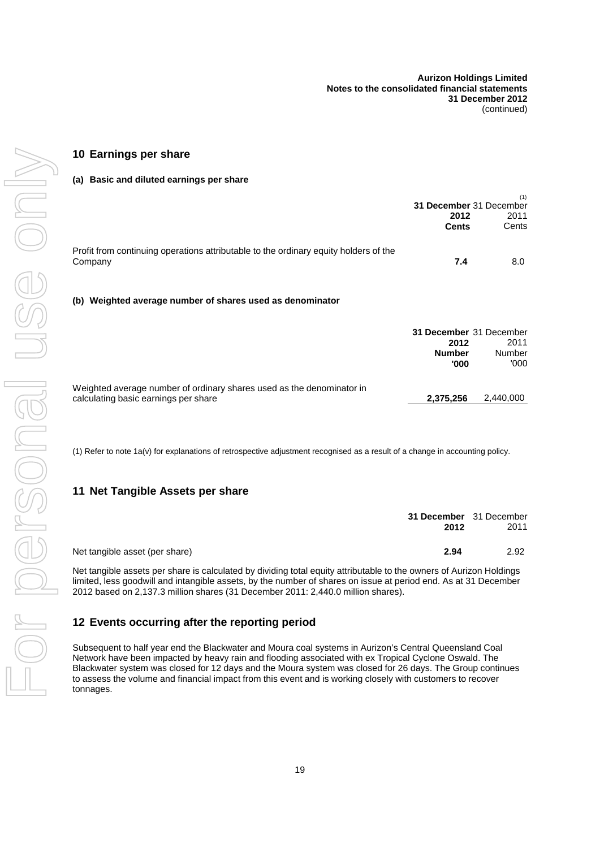## <span id="page-20-0"></span>**10 Earnings per share**

#### **(a) Basic and diluted earnings per share**

|                                                                                                               | 31 December 31 December<br>2012<br><b>Cents</b>          | (1)<br>2011<br>Cents   |
|---------------------------------------------------------------------------------------------------------------|----------------------------------------------------------|------------------------|
| Profit from continuing operations attributable to the ordinary equity holders of the<br>Company               | 7.4                                                      | 8.0                    |
| (b) Weighted average number of shares used as denominator                                                     |                                                          |                        |
|                                                                                                               | 31 December 31 December<br>2012<br><b>Number</b><br>'000 | 2011<br>Number<br>'000 |
| Weighted average number of ordinary shares used as the denominator in<br>calculating basic earnings per share | 2,375,256                                                | 2.440.000              |

(1) Refer to note 1a(v) for explanations of retrospective adjustment recognised as a result of a change in accounting policy.

#### **11 Net Tangible Assets per share**

|                                | 31 December 31 December<br>2012 | 2011 |
|--------------------------------|---------------------------------|------|
| Net tangible asset (per share) | 2.94                            | 2.92 |

Net tangible assets per share is calculated by dividing total equity attributable to the owners of Aurizon Holdings limited, less goodwill and intangible assets, by the number of shares on issue at period end. As at 31 December 2012 based on 2,137.3 million shares (31 December 2011: 2,440.0 million shares).

#### **12 Events occurring after the reporting period**

Subsequent to half year end the Blackwater and Moura coal systems in Aurizon's Central Queensland Coal Network have been impacted by heavy rain and flooding associated with ex Tropical Cyclone Oswald. The Blackwater system was closed for 12 days and the Moura system was closed for 26 days. The Group continues to assess the volume and financial impact from this event and is working closely with customers to recover tonnages.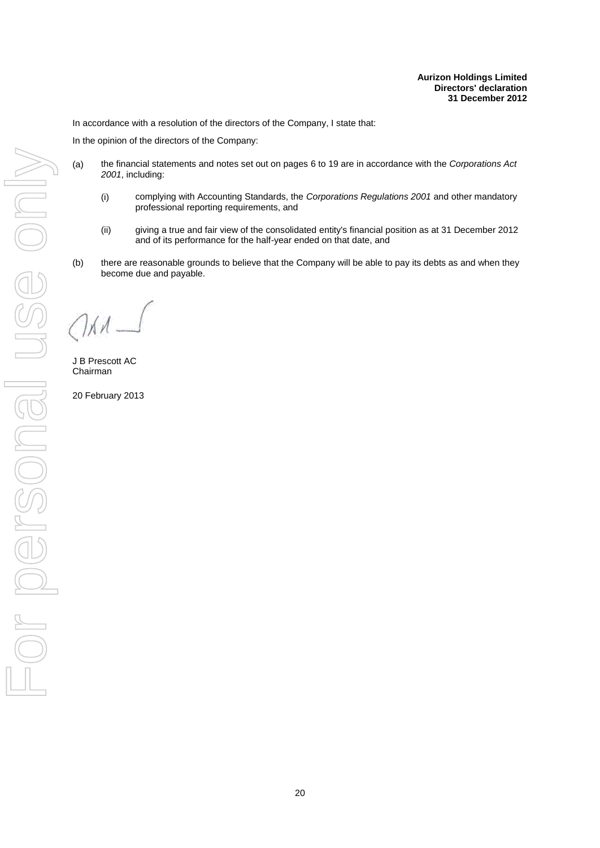<span id="page-21-0"></span>In accordance with a resolution of the directors of the Company, I state that:

In the opinion of the directors of the Company:

- (a) the financial statements and notes set out on pages [6](#page-7-1) to [19](#page-12-0) are in accordance with the *Corporations Act 2001*, including:
	- (i) complying with Accounting Standards, the *Corporations Regulations 2001* and other mandatory professional reporting requirements, and
	- (ii) giving a true and fair view of the consolidated entity's financial position as at 31 December 2012 and of its performance for the half-year ended on that date, and
- (b) there are reasonable grounds to believe that the Company will be able to pay its debts as and when they become due and payable.

 $\sqrt{\lambda}$ 

J B Prescott AC Chairman

20 February 2013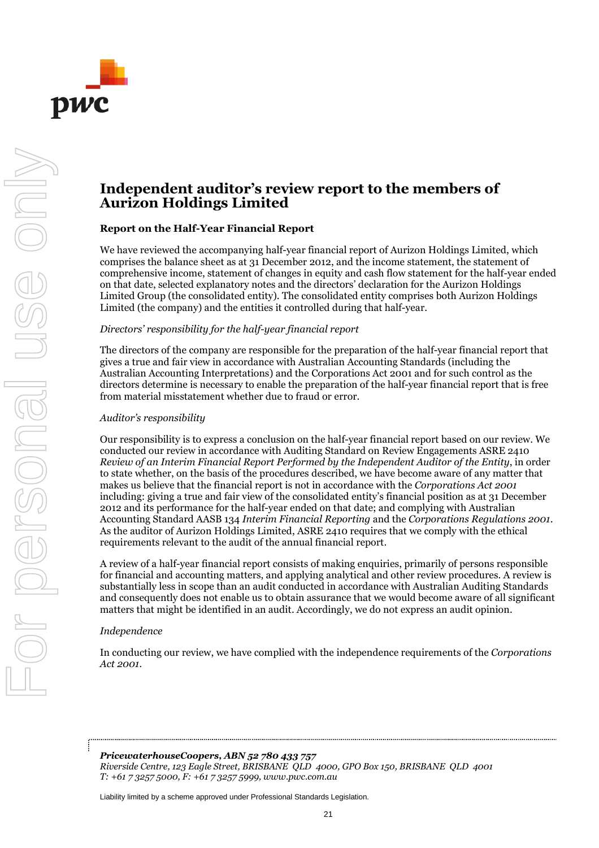

# **Independent auditor's review report to the members of Aurizon Holdings Limited**

#### **Report on the Half-Year Financial Report**

We have reviewed the accompanying half-year financial report of Aurizon Holdings Limited, which comprises the balance sheet as at 31 December 2012, and the income statement, the statement of comprehensive income, statement of changes in equity and cash flow statement for the half-year ended on that date, selected explanatory notes and the directors' declaration for the Aurizon Holdings Limited Group (the consolidated entity). The consolidated entity comprises both Aurizon Holdings Limited (the company) and the entities it controlled during that half-year.

#### *Directors' responsibility for the half-year financial report*

The directors of the company are responsible for the preparation of the half-year financial report that gives a true and fair view in accordance with Australian Accounting Standards (including the Australian Accounting Interpretations) and the Corporations Act 2001 and for such control as the directors determine is necessary to enable the preparation of the half-year financial report that is free from material misstatement whether due to fraud or error.

#### *Auditor's responsibility*

Our responsibility is to express a conclusion on the half-year financial report based on our review. We conducted our review in accordance with Auditing Standard on Review Engagements ASRE 2410 *Review of an Interim Financial Report Performed by the Independent Auditor of the Entity*, in order to state whether, on the basis of the procedures described, we have become aware of any matter that makes us believe that the financial report is not in accordance with the *Corporations Act 2001* including: giving a true and fair view of the consolidated entity's financial position as at 31 December 2012 and its performance for the half-year ended on that date; and complying with Australian Accounting Standard AASB 134 *Interim Financial Reporting* and the *Corporations Regulations 2001*. As the auditor of Aurizon Holdings Limited, ASRE 2410 requires that we comply with the ethical requirements relevant to the audit of the annual financial report.

A review of a half-year financial report consists of making enquiries, primarily of persons responsible for financial and accounting matters, and applying analytical and other review procedures. A review is substantially less in scope than an audit conducted in accordance with Australian Auditing Standards and consequently does not enable us to obtain assurance that we would become aware of all significant matters that might be identified in an audit. Accordingly, we do not express an audit opinion.

#### *Independence*

In conducting our review, we have complied with the independence requirements of the *Corporations Act 2001.*

*PricewaterhouseCoopers, ABN 52 780 433 757 Riverside Centre, 123 Eagle Street, BRISBANE QLD 4000, GPO Box 150, BRISBANE QLD 4001 T: +61 7 3257 5000, F: +61 7 3257 5999, www.pwc.com.au*

Liability limited by a scheme approved under Professional Standards Legislation.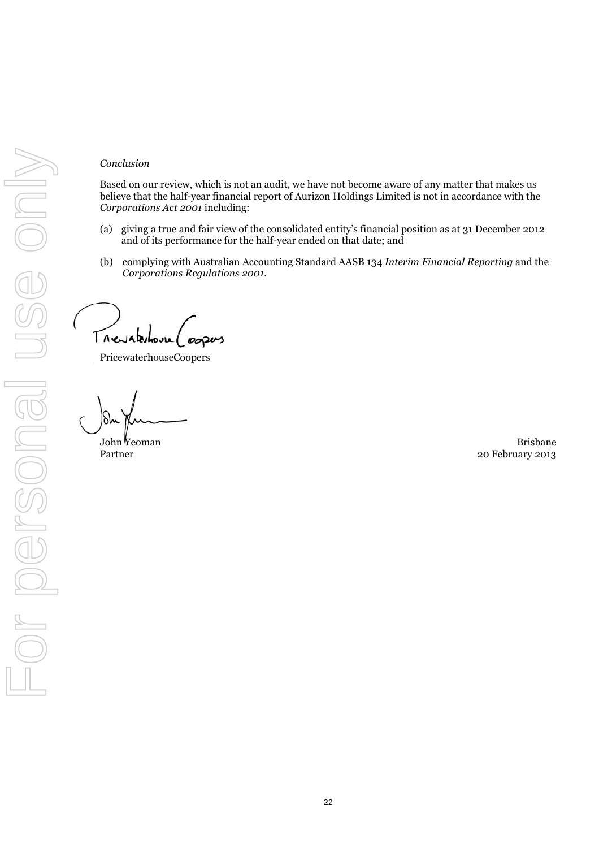#### *Conclusion*

Based on our review, which is not an audit, we have not become aware of any matter that makes us believe that the half-year financial report of Aurizon Holdings Limited is not in accordance with the *Corporations Act 2001* including:

- (a) giving a true and fair view of the consolidated entity's financial position as at 31 December 2012 and of its performance for the half-year ended on that date; and
- (b) complying with Australian Accounting Standard AASB 134 *Interim Financial Reporting* and the *Corporations Regulations 2001.*

Trevaterhouse 00200

PricewaterhouseCoopers

John Yeoman Brisbane Partner 20 February 2013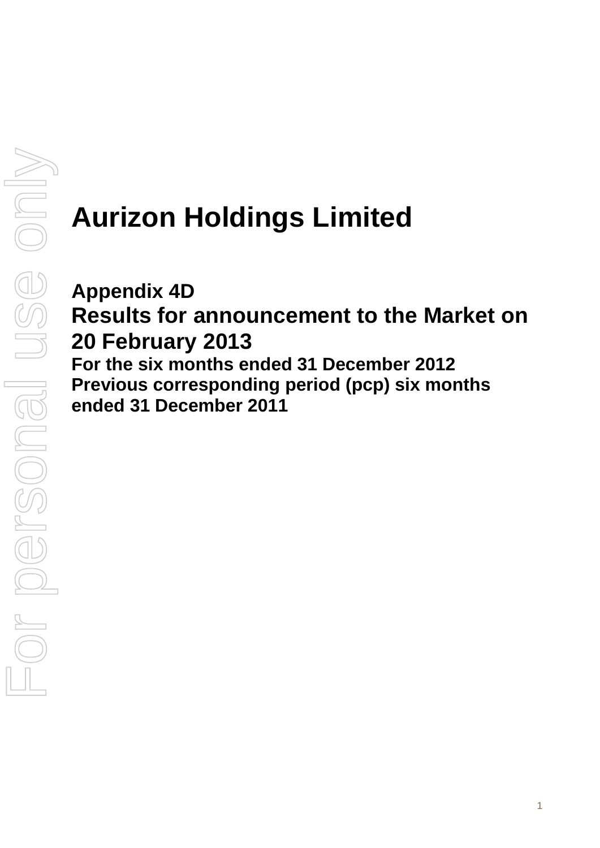# **Aurizon Holdings Limited**

# **Appendix 4D Results for announcement to the Market on 20 February 2013 For the six months ended 31 December 2012 Previous corresponding period (pcp) six months ended 31 December 2011**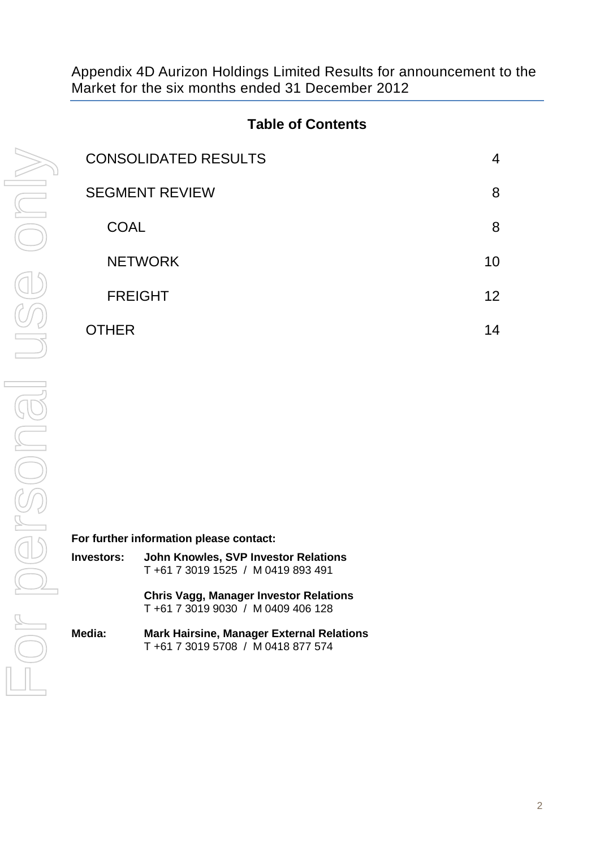Appendix 4D Aurizon Holdings Limited Results for announcement to the Market for the six months ended 31 December 2012

# **Table of Contents**

| <b>CONSOLIDATED RESULTS</b> | 4  |
|-----------------------------|----|
| <b>SEGMENT REVIEW</b>       | 8  |
| <b>COAL</b>                 | 8  |
| <b>NETWORK</b>              | 10 |
| <b>FREIGHT</b>              | 12 |
| THER                        | 14 |

**For further information please contact:**

| Investors: | John Knowles, SVP Investor Relations |
|------------|--------------------------------------|
|            | T +61 7 3019 1525 / M 0419 893 491   |

**Chris Vagg, Manager Investor Relations** T +61 7 3019 9030 / M 0409 406 128

**Media: Mark Hairsine, Manager External Relations** T +61 7 3019 5708 / M 0418 877 574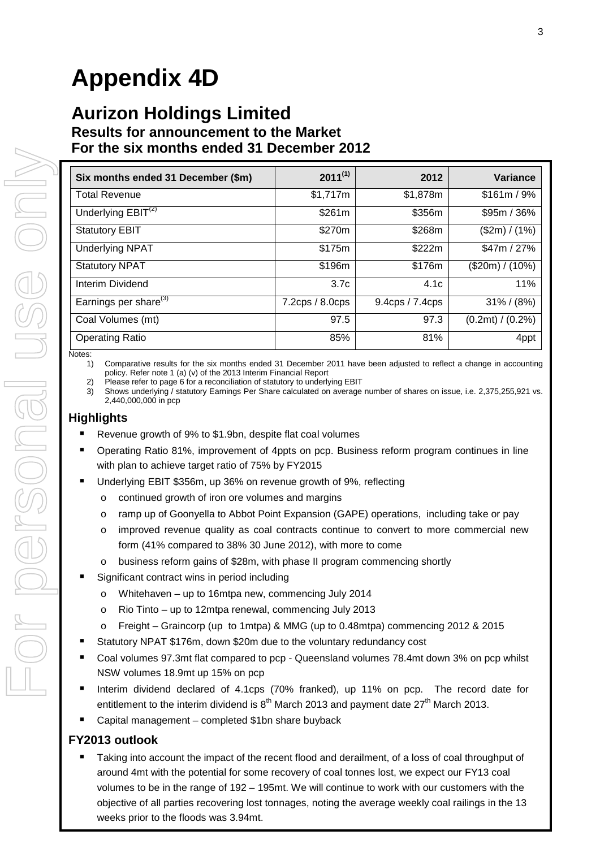# **Appendix 4D**

# **Aurizon Holdings Limited Results for announcement to the Market For the six months ended 31 December 2012**

| Six months ended 31 December (\$m) | $2011^{(1)}$       | 2012            | Variance         |
|------------------------------------|--------------------|-----------------|------------------|
| <b>Total Revenue</b>               | \$1,717m           | \$1,878m        | \$161m/9%        |
| Underlying $EBIT(2)$               | \$261m             | \$356m          | $$95m / 36\%$    |
| <b>Statutory EBIT</b>              | \$270m             | \$268m          | (\$2m) / (1%)    |
| <b>Underlying NPAT</b>             | \$175m             | \$222m          | \$47m / 27%      |
| <b>Statutory NPAT</b>              | \$196m             | \$176m          | (\$20m) / (10%)  |
| Interim Dividend                   | 3.7c               | 4.1c            | 11%              |
| Earnings per share <sup>(3)</sup>  | $7.2$ cps / 8.0cps | 9.4cps / 7.4cps | $31\% / (8\%)$   |
| Coal Volumes (mt)                  | 97.5               | 97.3            | (0.2mt) / (0.2%) |
| <b>Operating Ratio</b>             | 85%                | 81%             | 4ppt             |

Notes: 1) Comparative results for the six months ended 31 December 2011 have been adjusted to reflect a change in accounting policy. Refer note 1 (a) (v) of the 2013 Interim Financial Report

2) Please refer to page 6 for a reconciliation of statutory to underlying EBIT

3) Shows underlying / statutory Earnings Per Share calculated on average number of shares on issue, i.e. 2,375,255,921 vs. 2,440,000,000 in pcp

## **Highlights**

- Revenue growth of 9% to \$1.9bn, despite flat coal volumes
- Operating Ratio 81%, improvement of 4ppts on pcp. Business reform program continues in line with plan to achieve target ratio of 75% by FY2015
- Underlying EBIT \$356m, up 36% on revenue growth of 9%, reflecting
	- o continued growth of iron ore volumes and margins
	- o ramp up of Goonyella to Abbot Point Expansion (GAPE) operations, including take or pay
	- $\circ$  improved revenue quality as coal contracts continue to convert to more commercial new form (41% compared to 38% 30 June 2012), with more to come
	- o business reform gains of \$28m, with phase II program commencing shortly
- Significant contract wins in period including
	- o Whitehaven up to 16mtpa new, commencing July 2014
	- o Rio Tinto up to 12mtpa renewal, commencing July 2013
	- o Freight Graincorp (up to 1mtpa) & MMG (up to 0.48mtpa) commencing 2012 & 2015
- Statutory NPAT \$176m, down \$20m due to the voluntary redundancy cost
- Coal volumes 97.3mt flat compared to pcp Queensland volumes 78.4mt down 3% on pcp whilst NSW volumes 18.9mt up 15% on pcp
- Interim dividend declared of 4.1cps (70% franked), up 11% on pcp. The record date for entitlement to the interim dividend is  $8<sup>th</sup>$  March 2013 and payment date  $27<sup>th</sup>$  March 2013.
- Capital management completed \$1bn share buyback

## **FY2013 outlook**

 Taking into account the impact of the recent flood and derailment, of a loss of coal throughput of around 4mt with the potential for some recovery of coal tonnes lost, we expect our FY13 coal volumes to be in the range of 192 – 195mt. We will continue to work with our customers with the objective of all parties recovering lost tonnages, noting the average weekly coal railings in the 13 weeks prior to the floods was 3.94mt.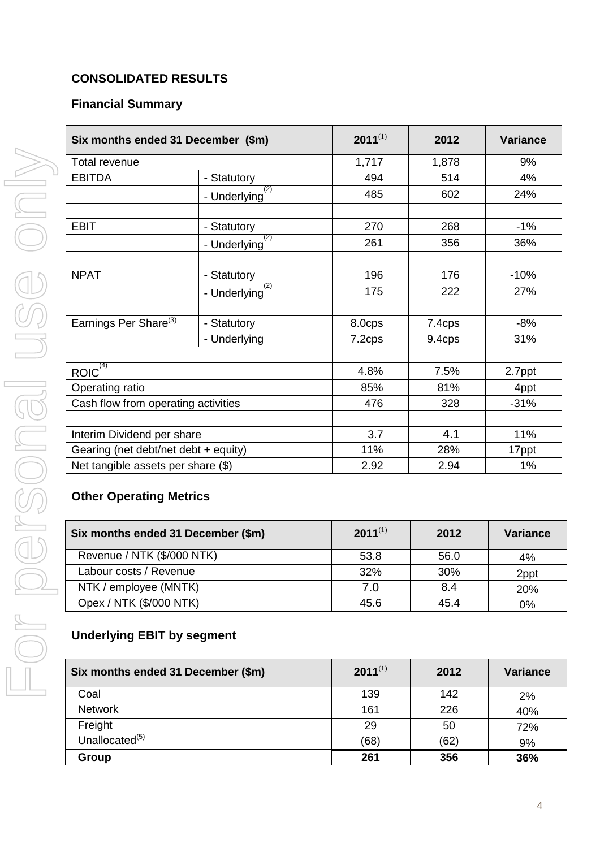# <span id="page-27-0"></span>**CONSOLIDATED RESULTS**

## **Financial Summary**

| Six months ended 31 December (\$m)   |                     | $2011^{(1)}$ | 2012   | <b>Variance</b> |
|--------------------------------------|---------------------|--------------|--------|-----------------|
| <b>Total revenue</b>                 |                     | 1,717        | 1,878  | 9%              |
| <b>EBITDA</b>                        | - Statutory         | 494          | 514    | 4%              |
|                                      | (2)<br>- Underlying | 485          | 602    | 24%             |
|                                      |                     |              |        |                 |
| <b>EBIT</b>                          | - Statutory         | 270          | 268    | $-1%$           |
|                                      | (2)<br>- Underlying | 261          | 356    | 36%             |
|                                      |                     |              |        |                 |
| <b>NPAT</b>                          | - Statutory         | 196          | 176    | $-10%$          |
|                                      | (2)<br>- Underlying | 175          | 222    | 27%             |
|                                      |                     |              |        |                 |
| Earnings Per Share <sup>(3)</sup>    | - Statutory         | 8.0cps       | 7.4cps | $-8%$           |
|                                      | - Underlying        | 7.2cps       | 9.4cps | 31%             |
|                                      |                     |              |        |                 |
| ROIC <sup>(4)</sup>                  |                     | 4.8%         | 7.5%   | 2.7ppt          |
| Operating ratio                      |                     | 85%          | 81%    | 4ppt            |
| Cash flow from operating activities  |                     | 476          | 328    | $-31%$          |
|                                      |                     |              |        |                 |
| Interim Dividend per share           |                     | 3.7          | 4.1    | 11%             |
| Gearing (net debt/net debt + equity) |                     | 11%          | 28%    | 17ppt           |
| Net tangible assets per share $(\$)$ |                     | 2.92         | 2.94   | 1%              |

## **Other Operating Metrics**

| Six months ended 31 December (\$m) | $2011^{(1)}$ | 2012 | Variance |
|------------------------------------|--------------|------|----------|
| Revenue / NTK (\$/000 NTK)         | 53.8         | 56.0 | 4%       |
| Labour costs / Revenue             | 32%          | 30%  | 2ppt     |
| NTK / employee (MNTK)              | 7.0          | 8.4  | 20%      |
| Opex / NTK (\$/000 NTK)            | 45.6         | 45.4 | 0%       |

# **Underlying EBIT by segment**

| Six months ended 31 December (\$m) | $2011^{(1)}$ | 2012 | <b>Variance</b> |
|------------------------------------|--------------|------|-----------------|
| Coal                               | 139          | 142  | 2%              |
| <b>Network</b>                     | 161          | 226  | 40%             |
| Freight                            | 29           | 50   | 72%             |
| Unallocated <sup>(5)</sup>         | (68)         | (62) | 9%              |
| Group                              | 261          | 356  | 36%             |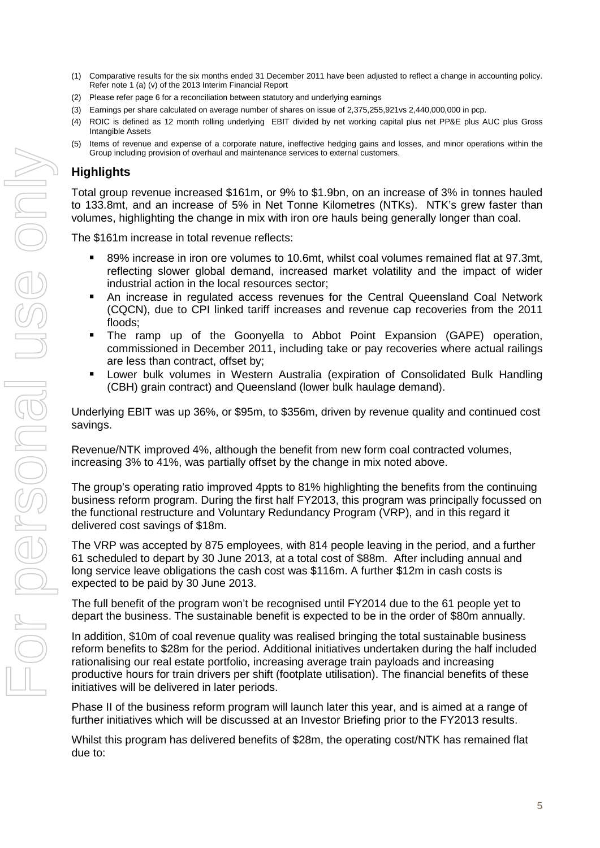- (1) Comparative results for the six months ended 31 December 2011 have been adjusted to reflect a change in accounting policy. Refer note 1 (a) (v) of the 2013 Interim Financial Report
- (2) Please refer page 6 for a reconciliation between statutory and underlying earnings
- (3) Earnings per share calculated on average number of shares on issue of 2,375,255,921vs 2,440,000,000 in pcp.
- (4) ROIC is defined as 12 month rolling underlying EBIT divided by net working capital plus net PP&E plus AUC plus Gross Intangible Assets
- (5) Items of revenue and expense of a corporate nature, ineffective hedging gains and losses, and minor operations within the Group including provision of overhaul and maintenance services to external customers.

## **Highlights**

Total group revenue increased \$161m, or 9% to \$1.9bn, on an increase of 3% in tonnes hauled to 133.8mt, and an increase of 5% in Net Tonne Kilometres (NTKs). NTK's grew faster than volumes, highlighting the change in mix with iron ore hauls being generally longer than coal.

The \$161m increase in total revenue reflects:

- 89% increase in iron ore volumes to 10.6mt, whilst coal volumes remained flat at 97.3mt, reflecting slower global demand, increased market volatility and the impact of wider industrial action in the local resources sector;
- An increase in regulated access revenues for the Central Queensland Coal Network (CQCN), due to CPI linked tariff increases and revenue cap recoveries from the 2011 floods;
- The ramp up of the Goonyella to Abbot Point Expansion (GAPE) operation, commissioned in December 2011, including take or pay recoveries where actual railings are less than contract, offset by;
- Lower bulk volumes in Western Australia (expiration of Consolidated Bulk Handling (CBH) grain contract) and Queensland (lower bulk haulage demand).

Underlying EBIT was up 36%, or \$95m, to \$356m, driven by revenue quality and continued cost savings.

Revenue/NTK improved 4%, although the benefit from new form coal contracted volumes, increasing 3% to 41%, was partially offset by the change in mix noted above.

The group's operating ratio improved 4ppts to 81% highlighting the benefits from the continuing business reform program. During the first half FY2013, this program was principally focussed on the functional restructure and Voluntary Redundancy Program (VRP), and in this regard it delivered cost savings of \$18m.

The VRP was accepted by 875 employees, with 814 people leaving in the period, and a further 61 scheduled to depart by 30 June 2013, at a total cost of \$88m. After including annual and long service leave obligations the cash cost was \$116m. A further \$12m in cash costs is expected to be paid by 30 June 2013.

The full benefit of the program won't be recognised until FY2014 due to the 61 people yet to depart the business. The sustainable benefit is expected to be in the order of \$80m annually.

In addition, \$10m of coal revenue quality was realised bringing the total sustainable business reform benefits to \$28m for the period. Additional initiatives undertaken during the half included rationalising our real estate portfolio, increasing average train payloads and increasing productive hours for train drivers per shift (footplate utilisation). The financial benefits of these initiatives will be delivered in later periods.

Phase II of the business reform program will launch later this year, and is aimed at a range of further initiatives which will be discussed at an Investor Briefing prior to the FY2013 results.

Whilst this program has delivered benefits of \$28m, the operating cost/NTK has remained flat due to: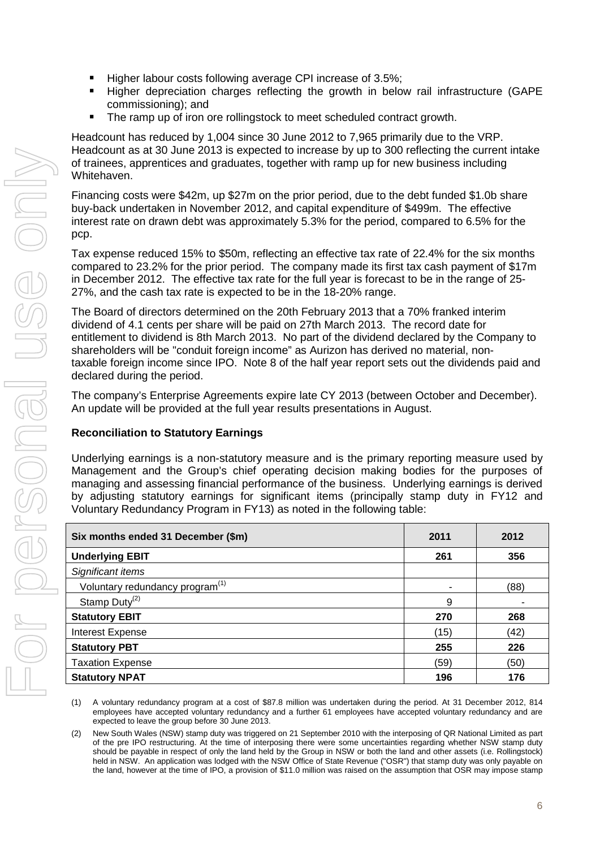- Higher labour costs following average CPI increase of 3.5%;
- Higher depreciation charges reflecting the growth in below rail infrastructure (GAPE commissioning); and
- The ramp up of iron ore rollingstock to meet scheduled contract growth.

Headcount has reduced by 1,004 since 30 June 2012 to 7,965 primarily due to the VRP. Headcount as at 30 June 2013 is expected to increase by up to 300 reflecting the current intake of trainees, apprentices and graduates, together with ramp up for new business including Whitehaven.

Financing costs were \$42m, up \$27m on the prior period, due to the debt funded \$1.0b share buy-back undertaken in November 2012, and capital expenditure of \$499m. The effective interest rate on drawn debt was approximately 5.3% for the period, compared to 6.5% for the pcp.

Tax expense reduced 15% to \$50m, reflecting an effective tax rate of 22.4% for the six months compared to 23.2% for the prior period. The company made its first tax cash payment of \$17m in December 2012. The effective tax rate for the full year is forecast to be in the range of 25- 27%, and the cash tax rate is expected to be in the 18-20% range.

The Board of directors determined on the 20th February 2013 that a 70% franked interim dividend of 4.1 cents per share will be paid on 27th March 2013. The record date for entitlement to dividend is 8th March 2013. No part of the dividend declared by the Company to shareholders will be "conduit foreign income" as Aurizon has derived no material, nontaxable foreign income since IPO. Note 8 of the half year report sets out the dividends paid and declared during the period.

The company's Enterprise Agreements expire late CY 2013 (between October and December). An update will be provided at the full year results presentations in August.

## **Reconciliation to Statutory Earnings**

Underlying earnings is a non-statutory measure and is the primary reporting measure used by Management and the Group's chief operating decision making bodies for the purposes of managing and assessing financial performance of the business. Underlying earnings is derived by adjusting statutory earnings for significant items (principally stamp duty in FY12 and Voluntary Redundancy Program in FY13) as noted in the following table:

| Six months ended 31 December (\$m)          | 2011                     | 2012 |
|---------------------------------------------|--------------------------|------|
| <b>Underlying EBIT</b>                      | 261                      | 356  |
| Significant items                           |                          |      |
| Voluntary redundancy program <sup>(1)</sup> | $\overline{\phantom{a}}$ | (88) |
| Stamp Duty <sup>(2)</sup>                   | 9                        |      |
| <b>Statutory EBIT</b>                       | 270                      | 268  |
| <b>Interest Expense</b>                     | (15)                     | (42) |
| <b>Statutory PBT</b>                        | 255                      | 226  |
| <b>Taxation Expense</b>                     | (59)                     | (50) |
| <b>Statutory NPAT</b>                       | 196                      | 176  |

(1) A voluntary redundancy program at a cost of \$87.8 million was undertaken during the period. At 31 December 2012, 814 employees have accepted voluntary redundancy and a further 61 employees have accepted voluntary redundancy and are expected to leave the group before 30 June 2013.

(2) New South Wales (NSW) stamp duty was triggered on 21 September 2010 with the interposing of QR National Limited as part of the pre IPO restructuring. At the time of interposing there were some uncertainties regarding whether NSW stamp duty should be payable in respect of only the land held by the Group in NSW or both the land and other assets (i.e. Rollingstock) held in NSW. An application was lodged with the NSW Office of State Revenue ("OSR") that stamp duty was only payable on the land, however at the time of IPO, a provision of \$11.0 million was raised on the assumption that OSR may impose stamp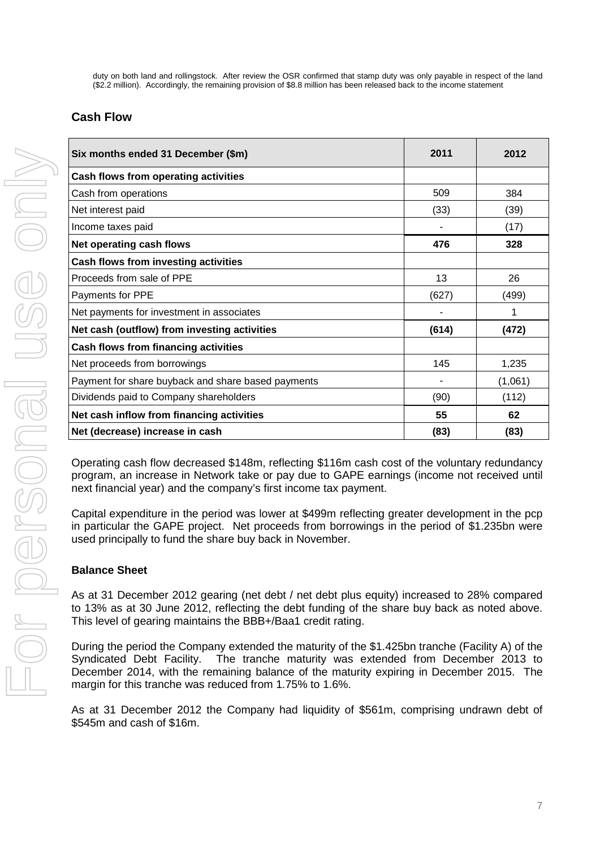duty on both land and rollingstock. After review the OSR confirmed that stamp duty was only payable in respect of the land (\$2.2 million). Accordingly, the remaining provision of \$8.8 million has been released back to the income statement

# **Cash Flow**

| Six months ended 31 December (\$m)                 | 2011  | 2012    |
|----------------------------------------------------|-------|---------|
| Cash flows from operating activities               |       |         |
| Cash from operations                               | 509   | 384     |
| Net interest paid                                  | (33)  | (39)    |
| Income taxes paid                                  |       | (17)    |
| Net operating cash flows                           | 476   | 328     |
| Cash flows from investing activities               |       |         |
| Proceeds from sale of PPE                          | 13    | 26      |
| Payments for PPE                                   | (627) | (499)   |
| Net payments for investment in associates          |       | 1       |
| Net cash (outflow) from investing activities       | (614) | (472)   |
| <b>Cash flows from financing activities</b>        |       |         |
| Net proceeds from borrowings                       | 145   | 1,235   |
| Payment for share buyback and share based payments |       | (1,061) |
| Dividends paid to Company shareholders             | (90)  | (112)   |
| Net cash inflow from financing activities          | 55    | 62      |
| Net (decrease) increase in cash                    | (83)  | (83)    |

Operating cash flow decreased \$148m, reflecting \$116m cash cost of the voluntary redundancy program, an increase in Network take or pay due to GAPE earnings (income not received until next financial year) and the company's first income tax payment.

Capital expenditure in the period was lower at \$499m reflecting greater development in the pcp in particular the GAPE project. Net proceeds from borrowings in the period of \$1.235bn were used principally to fund the share buy back in November.

## **Balance Sheet**

As at 31 December 2012 gearing (net debt / net debt plus equity) increased to 28% compared to 13% as at 30 June 2012, reflecting the debt funding of the share buy back as noted above. This level of gearing maintains the BBB+/Baa1 credit rating.

During the period the Company extended the maturity of the \$1.425bn tranche (Facility A) of the Syndicated Debt Facility. The tranche maturity was extended from December 2013 to December 2014, with the remaining balance of the maturity expiring in December 2015. The margin for this tranche was reduced from 1.75% to 1.6%.

As at 31 December 2012 the Company had liquidity of \$561m, comprising undrawn debt of \$545m and cash of \$16m.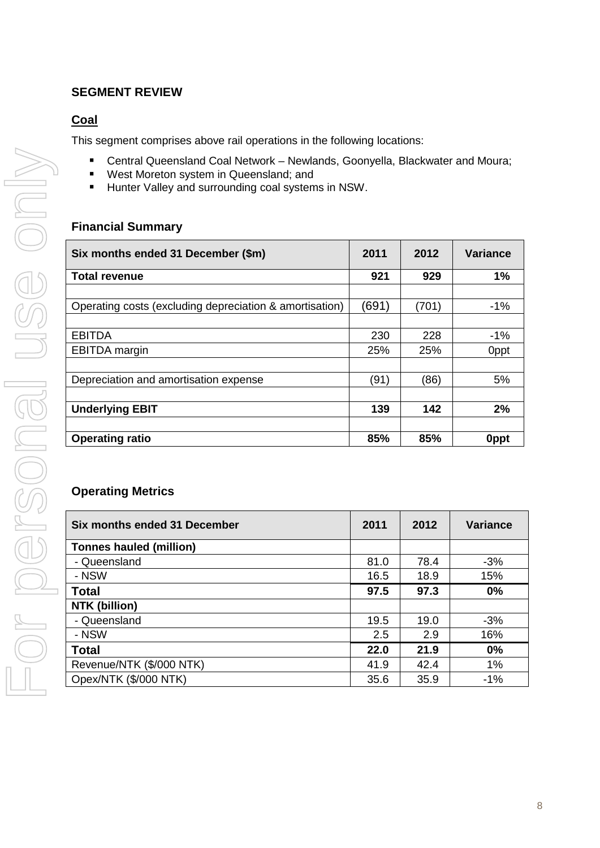# <span id="page-31-0"></span>**SEGMENT REVIEW**

# <span id="page-31-1"></span>**Coal**

This segment comprises above rail operations in the following locations:

- Central Queensland Coal Network Newlands, Goonyella, Blackwater and Moura;
- **West Moreton system in Queensland; and**
- **Hunter Valley and surrounding coal systems in NSW.**

## **Financial Summary**

| Six months ended 31 December (\$m)                      | 2011  | 2012  | <b>Variance</b> |
|---------------------------------------------------------|-------|-------|-----------------|
| <b>Total revenue</b>                                    | 921   | 929   | 1%              |
|                                                         |       |       |                 |
| Operating costs (excluding depreciation & amortisation) | (691) | (701) | $-1%$           |
|                                                         |       |       |                 |
| <b>EBITDA</b>                                           | 230   | 228   | $-1%$           |
| <b>EBITDA</b> margin                                    | 25%   | 25%   | 0ppt            |
|                                                         |       |       |                 |
| Depreciation and amortisation expense                   | (91)  | (86)  | 5%              |
|                                                         |       |       |                 |
| <b>Underlying EBIT</b>                                  | 139   | 142   | 2%              |
|                                                         |       |       |                 |
| <b>Operating ratio</b>                                  | 85%   | 85%   | 0ppt            |

## **Operating Metrics**

| Six months ended 31 December   | 2011 | 2012 | <b>Variance</b> |
|--------------------------------|------|------|-----------------|
| <b>Tonnes hauled (million)</b> |      |      |                 |
| - Queensland                   | 81.0 | 78.4 | $-3%$           |
| - NSW                          | 16.5 | 18.9 | 15%             |
| <b>Total</b>                   | 97.5 | 97.3 | 0%              |
| NTK (billion)                  |      |      |                 |
| - Queensland                   | 19.5 | 19.0 | $-3%$           |
| - NSW                          | 2.5  | 2.9  | 16%             |
| <b>Total</b>                   | 22.0 | 21.9 | 0%              |
| Revenue/NTK (\$/000 NTK)       | 41.9 | 42.4 | 1%              |
| Opex/NTK (\$/000 NTK)          | 35.6 | 35.9 | $-1%$           |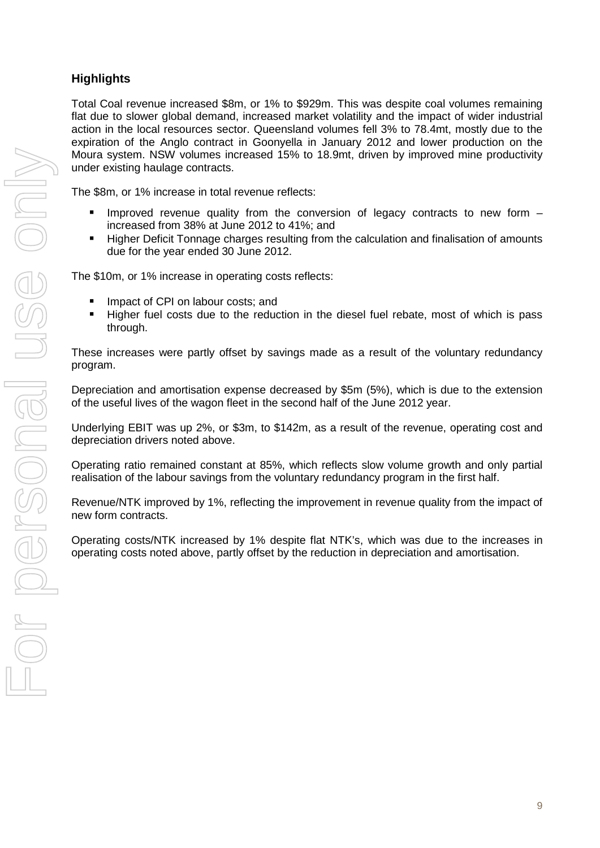# **Highlights**

Total Coal revenue increased \$8m, or 1% to \$929m. This was despite coal volumes remaining flat due to slower global demand, increased market volatility and the impact of wider industrial action in the local resources sector. Queensland volumes fell 3% to 78.4mt, mostly due to the expiration of the Anglo contract in Goonyella in January 2012 and lower production on the Moura system. NSW volumes increased 15% to 18.9mt, driven by improved mine productivity under existing haulage contracts.

The \$8m, or 1% increase in total revenue reflects:

- **Improved revenue quality from the conversion of legacy contracts to new form**  $$ increased from 38% at June 2012 to 41%; and
- Higher Deficit Tonnage charges resulting from the calculation and finalisation of amounts due for the year ended 30 June 2012.

The \$10m, or 1% increase in operating costs reflects:

- **If** Impact of CPI on labour costs; and
- Higher fuel costs due to the reduction in the diesel fuel rebate, most of which is pass through.

These increases were partly offset by savings made as a result of the voluntary redundancy program.

Depreciation and amortisation expense decreased by \$5m (5%), which is due to the extension of the useful lives of the wagon fleet in the second half of the June 2012 year.

Underlying EBIT was up 2%, or \$3m, to \$142m, as a result of the revenue, operating cost and depreciation drivers noted above.

Operating ratio remained constant at 85%, which reflects slow volume growth and only partial realisation of the labour savings from the voluntary redundancy program in the first half.

Revenue/NTK improved by 1%, reflecting the improvement in revenue quality from the impact of new form contracts.

Operating costs/NTK increased by 1% despite flat NTK's, which was due to the increases in operating costs noted above, partly offset by the reduction in depreciation and amortisation.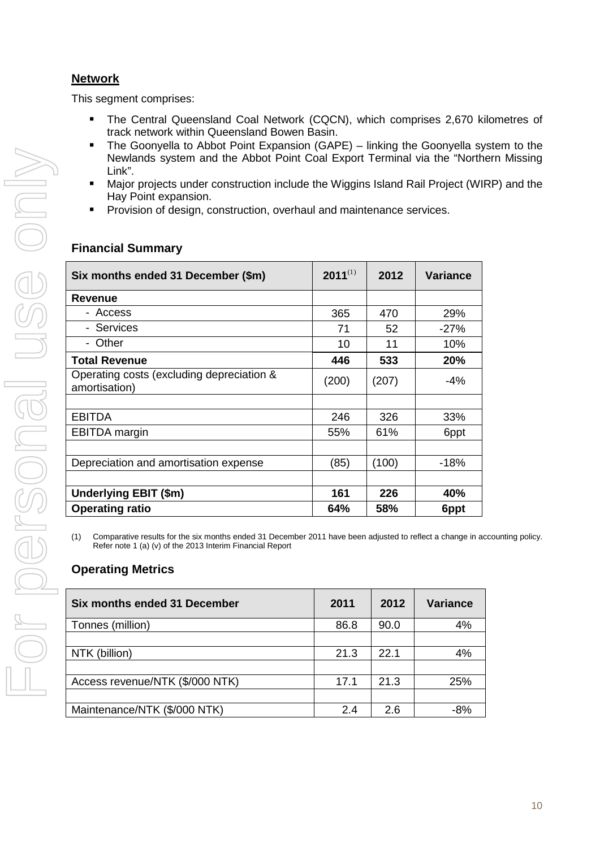# <span id="page-33-0"></span>**Network**

This segment comprises:

- The Central Queensland Coal Network (CQCN), which comprises 2,670 kilometres of track network within Queensland Bowen Basin.
- The Goonyella to Abbot Point Expansion (GAPE) linking the Goonyella system to the Newlands system and the Abbot Point Coal Export Terminal via the "Northern Missing Link".
- Major projects under construction include the Wiggins Island Rail Project (WIRP) and the Hay Point expansion.
- Provision of design, construction, overhaul and maintenance services.

| $2011^{(1)}$ | 2012  | <b>Variance</b> |
|--------------|-------|-----------------|
|              |       |                 |
| 365          | 470   | 29%             |
| 71           | 52    | $-27%$          |
| 10           | 11    | 10%             |
| 446          | 533   | 20%             |
| (200)        | (207) | -4%             |
|              |       |                 |
| 246          | 326   | 33%             |
| 55%          | 61%   | 6ppt            |
|              |       |                 |
| (85)         | (100) | $-18%$          |
|              |       |                 |
| 161          | 226   | 40%             |
| 64%          | 58%   | 6ppt            |
|              |       |                 |

# **Financial Summary**

(1) Comparative results for the six months ended 31 December 2011 have been adjusted to reflect a change in accounting policy. Refer note 1 (a) (v) of the 2013 Interim Financial Report

# **Operating Metrics**

| Six months ended 31 December    | 2011 | 2012 | <b>Variance</b> |
|---------------------------------|------|------|-----------------|
| Tonnes (million)                | 86.8 | 90.0 | 4%              |
|                                 |      |      |                 |
| NTK (billion)                   | 21.3 | 22.1 | 4%              |
|                                 |      |      |                 |
| Access revenue/NTK (\$/000 NTK) | 17.1 | 21.3 | 25%             |
|                                 |      |      |                 |
| Maintenance/NTK (\$/000 NTK)    | 2.4  | 26   | -8%             |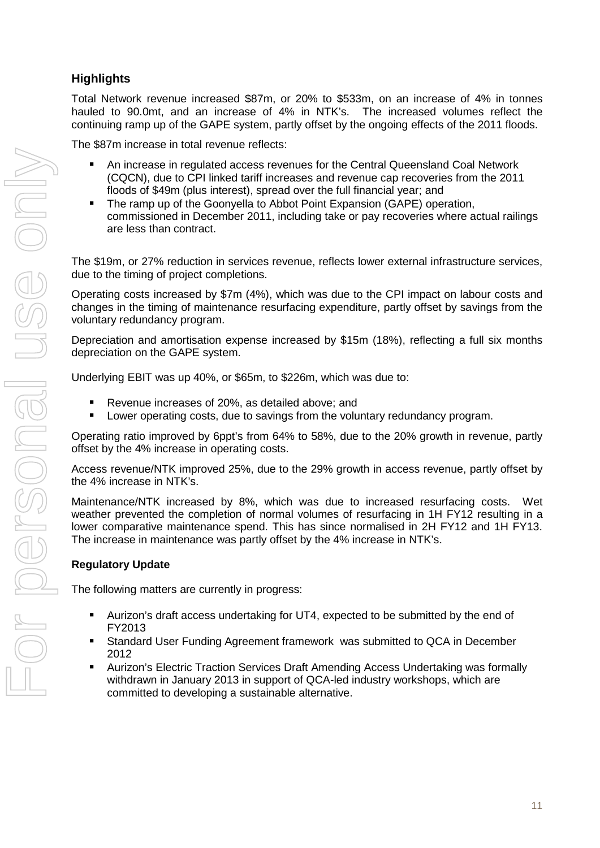# **Highlights**

Total Network revenue increased \$87m, or 20% to \$533m, on an increase of 4% in tonnes hauled to 90.0mt, and an increase of 4% in NTK's. The increased volumes reflect the continuing ramp up of the GAPE system, partly offset by the ongoing effects of the 2011 floods.

The \$87m increase in total revenue reflects:

- An increase in regulated access revenues for the Central Queensland Coal Network (CQCN), due to CPI linked tariff increases and revenue cap recoveries from the 2011 floods of \$49m (plus interest), spread over the full financial year; and
- The ramp up of the Goonyella to Abbot Point Expansion (GAPE) operation, commissioned in December 2011, including take or pay recoveries where actual railings are less than contract.

The \$19m, or 27% reduction in services revenue, reflects lower external infrastructure services, due to the timing of project completions.

Operating costs increased by \$7m (4%), which was due to the CPI impact on labour costs and changes in the timing of maintenance resurfacing expenditure, partly offset by savings from the voluntary redundancy program.

Depreciation and amortisation expense increased by \$15m (18%), reflecting a full six months depreciation on the GAPE system.

Underlying EBIT was up 40%, or \$65m, to \$226m, which was due to:

- Revenue increases of 20%, as detailed above; and
- **Lower operating costs, due to savings from the voluntary redundancy program.**

Operating ratio improved by 6ppt's from 64% to 58%, due to the 20% growth in revenue, partly offset by the 4% increase in operating costs.

Access revenue/NTK improved 25%, due to the 29% growth in access revenue, partly offset by the 4% increase in NTK's.

Maintenance/NTK increased by 8%, which was due to increased resurfacing costs. Wet weather prevented the completion of normal volumes of resurfacing in 1H FY12 resulting in a lower comparative maintenance spend. This has since normalised in 2H FY12 and 1H FY13. The increase in maintenance was partly offset by the 4% increase in NTK's.

## **Regulatory Update**

The following matters are currently in progress:

- Aurizon's draft access undertaking for UT4, expected to be submitted by the end of FY2013
- Standard User Funding Agreement framework was submitted to QCA in December 2012
- Aurizon's Electric Traction Services Draft Amending Access Undertaking was formally withdrawn in January 2013 in support of QCA-led industry workshops, which are committed to developing a sustainable alternative.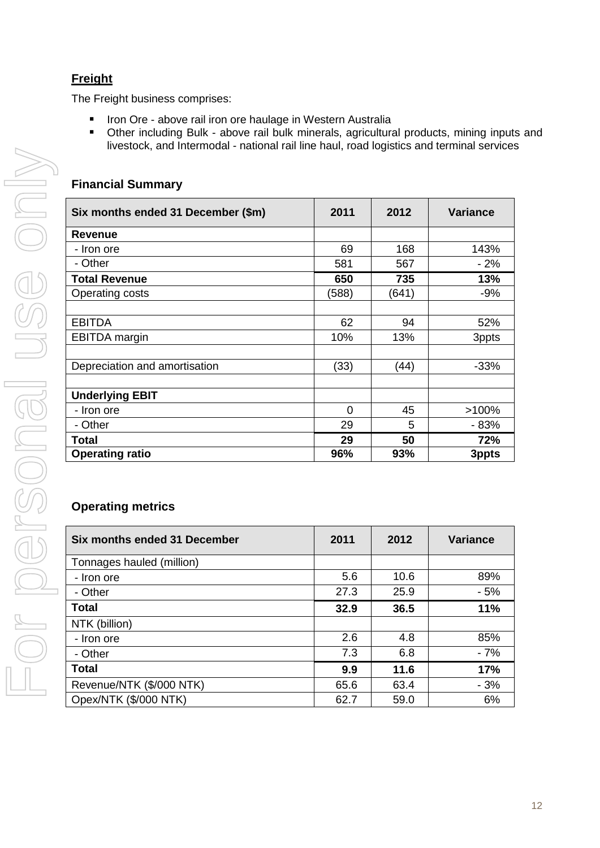# <span id="page-35-0"></span>**Freight**

The Freight business comprises:

- **If the Ore above rail iron ore haulage in Western Australia**
- Other including Bulk above rail bulk minerals, agricultural products, mining inputs and livestock, and Intermodal - national rail line haul, road logistics and terminal services

# **Financial Summary**

| Six months ended 31 December (\$m) | 2011  | 2012  | <b>Variance</b> |
|------------------------------------|-------|-------|-----------------|
| Revenue                            |       |       |                 |
| - Iron ore                         | 69    | 168   | 143%            |
| - Other                            | 581   | 567   | - 2%            |
| <b>Total Revenue</b>               | 650   | 735   | 13%             |
| Operating costs                    | (588) | (641) | $-9%$           |
|                                    |       |       |                 |
| <b>EBITDA</b>                      | 62    | 94    | 52%             |
| <b>EBITDA</b> margin               | 10%   | 13%   | 3ppts           |
|                                    |       |       |                 |
| Depreciation and amortisation      | (33)  | (44)  | $-33%$          |
|                                    |       |       |                 |
| <b>Underlying EBIT</b>             |       |       |                 |
| - Iron ore                         | 0     | 45    | $>100\%$        |
| - Other                            | 29    | 5     | - 83%           |
| Total                              | 29    | 50    | 72%             |
| <b>Operating ratio</b>             | 96%   | 93%   | 3ppts           |

# **Operating metrics**

| Six months ended 31 December | 2011 | 2012 | <b>Variance</b> |
|------------------------------|------|------|-----------------|
| Tonnages hauled (million)    |      |      |                 |
| - Iron ore                   | 5.6  | 10.6 | 89%             |
| - Other                      | 27.3 | 25.9 | $-5%$           |
| <b>Total</b>                 | 32.9 | 36.5 | 11%             |
| NTK (billion)                |      |      |                 |
| - Iron ore                   | 2.6  | 4.8  | 85%             |
| - Other                      | 7.3  | 6.8  | $-7%$           |
| <b>Total</b>                 | 9.9  | 11.6 | 17%             |
| Revenue/NTK (\$/000 NTK)     | 65.6 | 63.4 | $-3%$           |
| Opex/NTK (\$/000 NTK)        | 62.7 | 59.0 | 6%              |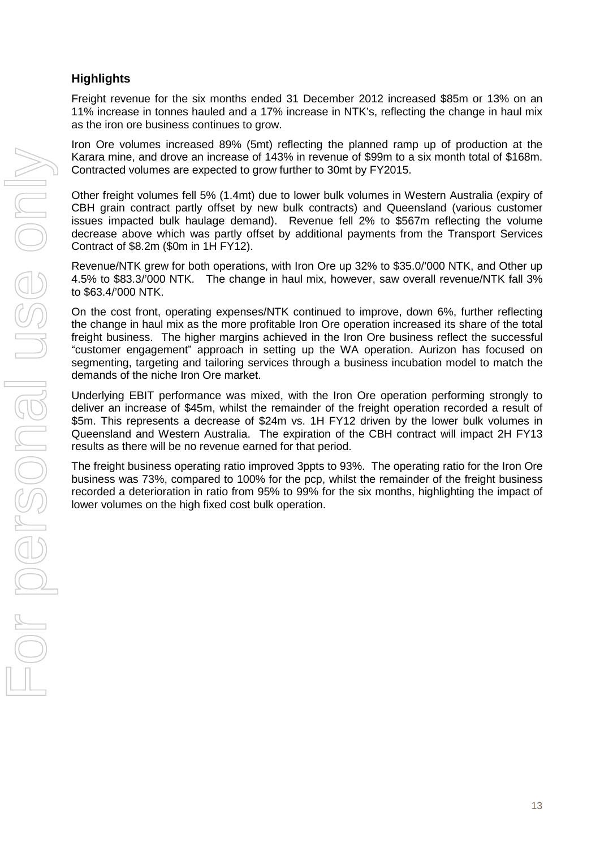# **Highlights**

Freight revenue for the six months ended 31 December 2012 increased \$85m or 13% on an 11% increase in tonnes hauled and a 17% increase in NTK's, reflecting the change in haul mix as the iron ore business continues to grow.

Iron Ore volumes increased 89% (5mt) reflecting the planned ramp up of production at the Karara mine, and drove an increase of 143% in revenue of \$99m to a six month total of \$168m. Contracted volumes are expected to grow further to 30mt by FY2015.

Other freight volumes fell 5% (1.4mt) due to lower bulk volumes in Western Australia (expiry of CBH grain contract partly offset by new bulk contracts) and Queensland (various customer issues impacted bulk haulage demand). Revenue fell 2% to \$567m reflecting the volume decrease above which was partly offset by additional payments from the Transport Services Contract of \$8.2m (\$0m in 1H FY12).

Revenue/NTK grew for both operations, with Iron Ore up 32% to \$35.0/'000 NTK, and Other up 4.5% to \$83.3/'000 NTK. The change in haul mix, however, saw overall revenue/NTK fall 3% to \$63.4/'000 NTK.

On the cost front, operating expenses/NTK continued to improve, down 6%, further reflecting the change in haul mix as the more profitable Iron Ore operation increased its share of the total freight business. The higher margins achieved in the Iron Ore business reflect the successful "customer engagement" approach in setting up the WA operation. Aurizon has focused on segmenting, targeting and tailoring services through a business incubation model to match the demands of the niche Iron Ore market.

Underlying EBIT performance was mixed, with the Iron Ore operation performing strongly to deliver an increase of \$45m, whilst the remainder of the freight operation recorded a result of \$5m. This represents a decrease of \$24m vs. 1H FY12 driven by the lower bulk volumes in Queensland and Western Australia. The expiration of the CBH contract will impact 2H FY13 results as there will be no revenue earned for that period.

<span id="page-36-0"></span>The freight business operating ratio improved 3ppts to 93%. The operating ratio for the Iron Ore business was 73%, compared to 100% for the pcp, whilst the remainder of the freight business recorded a deterioration in ratio from 95% to 99% for the six months, highlighting the impact of lower volumes on the high fixed cost bulk operation.